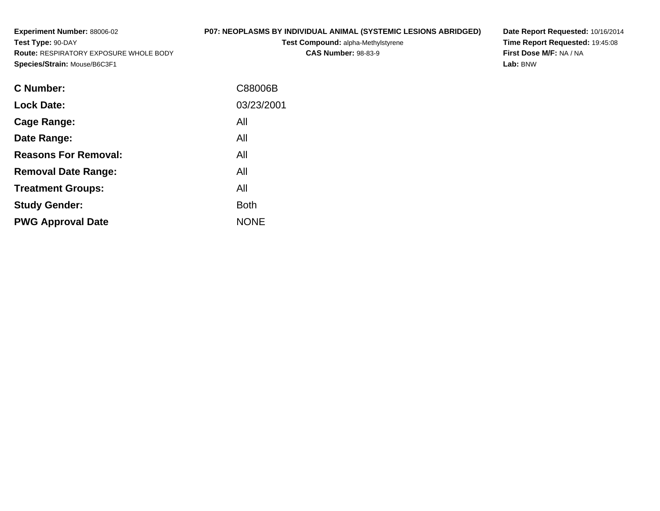**Experiment Number:** 88006-02**Test Type:** 90-DAY **Route:** RESPIRATORY EXPOSURE WHOLE BODY**Species/Strain:** Mouse/B6C3F1

**Test Compound:** alpha-Methylstyrene**CAS Number:** 98-83-9

**Date Report Requested:** 10/16/2014 **Time Report Requested:** 19:45:08**First Dose M/F:** NA / NA**Lab:** BNW

| C Number:                   | C88006B     |
|-----------------------------|-------------|
| <b>Lock Date:</b>           | 03/23/2001  |
| Cage Range:                 | All         |
| Date Range:                 | All         |
| <b>Reasons For Removal:</b> | All         |
| <b>Removal Date Range:</b>  | All         |
| <b>Treatment Groups:</b>    | All         |
| <b>Study Gender:</b>        | <b>Both</b> |
| <b>PWG Approval Date</b>    | <b>NONE</b> |
|                             |             |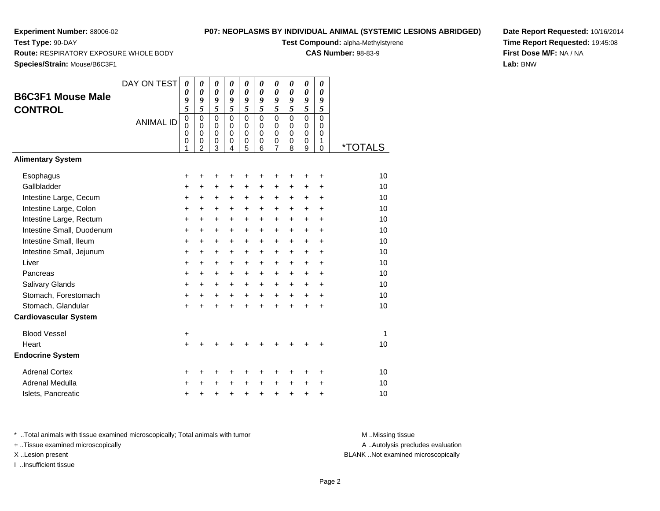**Test Type:** 90-DAY

## **P07: NEOPLASMS BY INDIVIDUAL ANIMAL (SYSTEMIC LESIONS ABR**

**Test Compound:** alpha-Methylstyrene

**CAS Number:** 98-83-9

**Species/Strain:** Mouse/B6C3F1

**Route:** RESPIRATORY EXPOSURE WHOLE BODY

| <b>IDGED)</b> | Date Report Requested: 10/16/2014 |
|---------------|-----------------------------------|
|               | Time Report Requested: 19:45:08   |
|               | First Dose M/F: NA / NA           |
|               | Lab: BNW                          |
|               |                                   |

|                              | DAY ON TEST      | $\boldsymbol{\theta}$      | 0                          | 0                          | 0                          | 0                          | $\pmb{\theta}$             | 0                   | $\boldsymbol{\theta}$ | $\pmb{\theta}$             | 0              |                       |
|------------------------------|------------------|----------------------------|----------------------------|----------------------------|----------------------------|----------------------------|----------------------------|---------------------|-----------------------|----------------------------|----------------|-----------------------|
| <b>B6C3F1 Mouse Male</b>     |                  | 0<br>9                     | 0<br>9                     | $\boldsymbol{\theta}$<br>9 | $\boldsymbol{\theta}$<br>9 | 0<br>9                     | 0<br>9                     | 0<br>9              | 0<br>9                | $\theta$<br>9              | 0<br>9         |                       |
| <b>CONTROL</b>               |                  | 5                          | 5                          | $\overline{5}$             | 5                          | 5                          | 5                          | 5                   | 5                     | 5                          | 5              |                       |
|                              | <b>ANIMAL ID</b> | $\mathbf 0$                | $\mathbf 0$                | $\mathbf 0$                | $\mathbf 0$                | $\mathbf 0$                | $\mathbf 0$                | $\mathbf 0$         | $\mathbf 0$           | $\mathsf 0$                | $\overline{0}$ |                       |
|                              |                  | $\mathbf 0$<br>$\mathbf 0$ | $\mathbf 0$<br>$\mathbf 0$ | $\mathbf 0$<br>$\mathbf 0$ | $\mathbf 0$<br>$\mathbf 0$ | $\mathbf 0$<br>$\mathbf 0$ | $\mathbf 0$<br>$\mathbf 0$ | 0<br>$\mathbf 0$    | 0<br>0                | $\mathbf 0$<br>$\mathbf 0$ | 0<br>0         |                       |
|                              |                  | 0<br>1                     | 0<br>$\mathfrak{p}$        | 0<br>3                     | 0<br>4                     | 0<br>5                     | 0<br>6                     | 0<br>$\overline{7}$ | 0<br>8                | 0<br>$\overline{9}$        | 1<br>$\Omega$  | <i><b>*TOTALS</b></i> |
| <b>Alimentary System</b>     |                  |                            |                            |                            |                            |                            |                            |                     |                       |                            |                |                       |
|                              |                  |                            |                            |                            |                            |                            |                            |                     |                       |                            |                |                       |
| Esophagus                    |                  | +                          | +                          | +                          | +                          | +                          | +                          | +                   | ٠                     | ٠                          | ٠              | 10                    |
| Gallbladder                  |                  | +                          | $\ddot{}$                  | $\ddot{}$                  | +                          | $\ddot{}$                  | +                          | +                   | $\ddot{}$             | +                          | $\ddot{}$      | 10                    |
| Intestine Large, Cecum       |                  | ٠                          | $\ddot{}$                  | $\ddot{}$                  | +                          | $\ddot{}$                  | +                          | +                   | $\ddot{}$             | +                          | $\ddot{}$      | 10                    |
| Intestine Large, Colon       |                  | $\ddot{}$                  | +                          | $\ddot{}$                  | +                          | +                          | +                          | $\ddot{}$           | $\ddot{}$             | $\ddot{}$                  | $\ddot{}$      | 10<br>10              |
| Intestine Large, Rectum      |                  | $\ddot{}$                  | $+$                        | $\ddot{}$                  | $\ddot{}$                  | $\ddot{}$                  | $\ddot{}$                  | $\ddot{}$           | $\ddot{}$             | $\ddot{}$                  | $\ddot{}$      | 10                    |
| Intestine Small, Duodenum    |                  | +                          | $\ddot{}$                  | +                          | $\ddot{}$                  | +                          | $\ddot{}$                  | +                   | +                     | +                          | +              |                       |
| Intestine Small, Ileum       |                  | +                          | $\ddot{}$                  | $\ddot{}$                  | $\ddot{}$                  | $\ddot{}$                  | $\ddot{}$                  | $\ddot{}$           | $\ddot{}$             | $\ddot{}$                  | $\ddot{}$      | 10                    |
| Intestine Small, Jejunum     |                  | +                          | $\ddot{}$                  | $\ddot{}$                  | $\ddot{}$                  | $\ddot{}$                  | +                          | $\ddot{}$           | +                     | $\ddot{}$                  | $\ddot{}$      | 10                    |
| Liver                        |                  | $\ddot{}$                  | $\ddot{}$                  | $\ddot{}$                  | $\ddot{}$                  | $\ddot{}$                  | $\ddot{}$                  | $\ddot{}$           | $\ddot{}$             | $+$                        | $\ddot{}$      | 10                    |
| Pancreas                     |                  | +                          | $\ddot{}$                  | $\ddot{}$                  | $\ddot{}$                  | $\ddot{}$                  | $\ddot{}$                  | $\ddot{}$           | $\ddot{}$             | $\ddot{}$                  | $\ddot{}$      | 10                    |
| <b>Salivary Glands</b>       |                  | +                          | $+$                        | $\ddot{}$                  | $\ddot{}$                  | $\ddot{}$                  | $+$                        | $\ddot{}$           | $\ddot{}$             | $\ddot{}$                  | $\ddot{}$      | 10                    |
| Stomach, Forestomach         |                  | +                          | +                          | $\ddot{}$                  | +                          | $\ddot{}$                  | +                          | $\ddot{}$           | $\ddot{}$             | $\ddot{}$                  | $\ddot{}$      | 10                    |
| Stomach, Glandular           |                  | $\ddot{}$                  | $\ddot{}$                  | $\ddot{}$                  | $\ddot{}$                  | $\ddot{}$                  | $\ddot{}$                  | $\ddot{}$           | $\ddot{}$             | $\ddot{}$                  | $\ddot{}$      | 10                    |
| <b>Cardiovascular System</b> |                  |                            |                            |                            |                            |                            |                            |                     |                       |                            |                |                       |
| <b>Blood Vessel</b>          |                  | +                          |                            |                            |                            |                            |                            |                     |                       |                            |                | 1                     |
| Heart                        |                  | $\ddot{}$                  |                            |                            |                            |                            |                            |                     |                       |                            | +              | 10                    |
| <b>Endocrine System</b>      |                  |                            |                            |                            |                            |                            |                            |                     |                       |                            |                |                       |
| <b>Adrenal Cortex</b>        |                  | ٠                          | +                          | +                          | +                          | +                          | ٠                          | +                   | +                     | ٠                          | ٠              | 10                    |
| Adrenal Medulla              |                  |                            |                            | +                          | +                          | $\ddot{}$                  | $\ddot{}$                  | +                   | +                     | +                          | +              | 10                    |
| Islets, Pancreatic           |                  | +                          | +                          | +                          | +                          | $\ddot{}$                  | $\ddot{}$                  | +                   | +                     | +                          | +              | 10                    |

\* ..Total animals with tissue examined microscopically; Total animals with tumor **M** . Missing tissue M ..Missing tissue

+ ..Tissue examined microscopically

I ..Insufficient tissue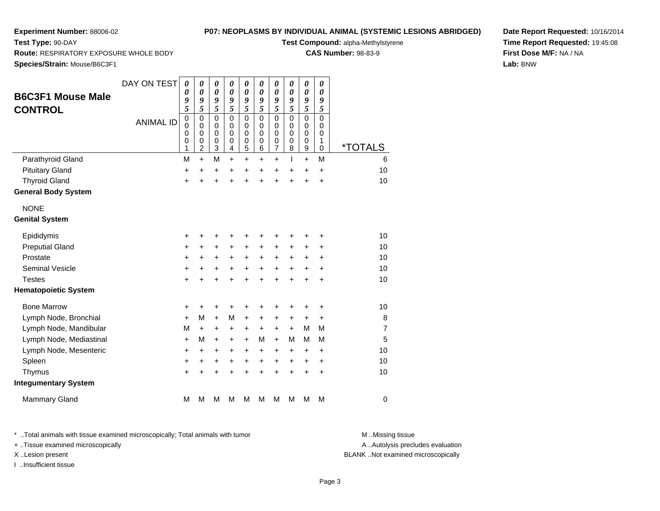**Test Type:** 90-DAY

# **P07: NEOPLASMS BY INDIVIDUAL ANIMAL (SYSTEMIC LESIONS ABRIDGED)**

**Test Compound:** alpha-Methylstyrene

**CAS Number:** 98-83-9

**Date Report Requested:** 10/16/2014**Time Report Requested:** 19:45:08**First Dose M/F:** NA / NA**Lab:** BNW

**Route:** RESPIRATORY EXPOSURE WHOLE BODY

**Species/Strain:** Mouse/B6C3F1

| <b>B6C3F1 Mouse Male</b><br><b>CONTROL</b> | DAY ON TEST<br><b>ANIMAL ID</b> | $\boldsymbol{\theta}$<br>0<br>9<br>5<br>$\mathbf 0$<br>$\mathbf 0$<br>$\mathbf 0$<br>0<br>1 | 0<br>$\boldsymbol{\theta}$<br>9<br>$\overline{\mathbf{5}}$<br>$\mathbf 0$<br>$\mathbf 0$<br>$\mathbf 0$<br>0<br>$\overline{2}$ | $\pmb{\theta}$<br>$\boldsymbol{\theta}$<br>9<br>$\overline{\mathbf{5}}$<br>$\mathbf 0$<br>$\mathbf 0$<br>$\mathbf 0$<br>0<br>3 | 0<br>0<br>9<br>$\overline{\mathbf{5}}$<br>$\mathbf 0$<br>$\mathbf 0$<br>$\Omega$<br>0<br>4 | 0<br>0<br>9<br>$\overline{\mathbf{5}}$<br>0<br>$\mathbf 0$<br>$\mathbf 0$<br>0<br>5 | 0<br>$\boldsymbol{\theta}$<br>9<br>$\overline{\mathbf{5}}$<br>0<br>0<br>$\Omega$<br>0<br>6 | 0<br>0<br>$\pmb{9}$<br>$\overline{\mathbf{5}}$<br>0<br>$\mathbf 0$<br>0<br>0<br>7 | 0<br>$\boldsymbol{\theta}$<br>9<br>$\overline{\mathbf{5}}$<br>$\mathbf 0$<br>0<br>$\Omega$<br>$\mathbf 0$<br>8 | 0<br>0<br>9<br>$\overline{\mathbf{5}}$<br>0<br>$\mathbf 0$<br>$\mathbf 0$<br>0<br>$\mathsf g$ | 0<br>$\boldsymbol{\theta}$<br>9<br>5<br>$\mathbf 0$<br>$\mathbf 0$<br>0<br>1<br>$\mathbf 0$ | <i><b>*TOTALS</b></i> |
|--------------------------------------------|---------------------------------|---------------------------------------------------------------------------------------------|--------------------------------------------------------------------------------------------------------------------------------|--------------------------------------------------------------------------------------------------------------------------------|--------------------------------------------------------------------------------------------|-------------------------------------------------------------------------------------|--------------------------------------------------------------------------------------------|-----------------------------------------------------------------------------------|----------------------------------------------------------------------------------------------------------------|-----------------------------------------------------------------------------------------------|---------------------------------------------------------------------------------------------|-----------------------|
| Parathyroid Gland                          |                                 | M                                                                                           | $\ddot{}$                                                                                                                      | M                                                                                                                              | $\ddot{}$                                                                                  | $\ddot{}$                                                                           | $\ddot{}$                                                                                  | $\ddot{}$                                                                         | T                                                                                                              | $+$                                                                                           | M                                                                                           | 6                     |
| <b>Pituitary Gland</b>                     |                                 | +                                                                                           | $\ddot{}$                                                                                                                      | $\ddot{}$                                                                                                                      | $\ddot{}$                                                                                  | $\ddot{}$                                                                           | $\ddot{}$                                                                                  | $\ddot{}$                                                                         | $\ddot{}$                                                                                                      | $\ddot{}$                                                                                     | $\ddot{}$                                                                                   | 10                    |
| <b>Thyroid Gland</b>                       |                                 | $\ddot{}$                                                                                   | $\ddot{}$                                                                                                                      | $\ddot{}$                                                                                                                      | $\ddot{}$                                                                                  | $\ddot{}$                                                                           | $\ddot{}$                                                                                  | $\ddot{}$                                                                         | $\ddot{}$                                                                                                      | $\ddot{}$                                                                                     | +                                                                                           | 10                    |
| <b>General Body System</b>                 |                                 |                                                                                             |                                                                                                                                |                                                                                                                                |                                                                                            |                                                                                     |                                                                                            |                                                                                   |                                                                                                                |                                                                                               |                                                                                             |                       |
| <b>NONE</b>                                |                                 |                                                                                             |                                                                                                                                |                                                                                                                                |                                                                                            |                                                                                     |                                                                                            |                                                                                   |                                                                                                                |                                                                                               |                                                                                             |                       |
| <b>Genital System</b>                      |                                 |                                                                                             |                                                                                                                                |                                                                                                                                |                                                                                            |                                                                                     |                                                                                            |                                                                                   |                                                                                                                |                                                                                               |                                                                                             |                       |
| Epididymis                                 |                                 | +                                                                                           | +                                                                                                                              | +                                                                                                                              | +                                                                                          | +                                                                                   | +                                                                                          | +                                                                                 |                                                                                                                | +                                                                                             | ٠                                                                                           | 10                    |
| <b>Preputial Gland</b>                     |                                 | +                                                                                           | +                                                                                                                              | +                                                                                                                              | +                                                                                          | +                                                                                   | +                                                                                          | $\ddot{}$                                                                         | $\ddot{}$                                                                                                      | +                                                                                             | +                                                                                           | 10                    |
| Prostate                                   |                                 | +                                                                                           | +                                                                                                                              | +                                                                                                                              | $\ddot{}$                                                                                  | +                                                                                   | +                                                                                          | +                                                                                 | $\ddot{}$                                                                                                      | +                                                                                             | +                                                                                           | 10                    |
| <b>Seminal Vesicle</b>                     |                                 | $\ddot{}$                                                                                   | $\ddot{}$                                                                                                                      | +                                                                                                                              | $\ddot{}$                                                                                  | $\ddot{}$                                                                           | $\ddot{}$                                                                                  | +                                                                                 | $\ddot{}$                                                                                                      | $\ddot{}$                                                                                     | $\ddot{}$                                                                                   | 10                    |
| <b>Testes</b>                              |                                 | $\ddot{}$                                                                                   | $\ddot{}$                                                                                                                      | $\ddot{}$                                                                                                                      | $\ddot{}$                                                                                  | +                                                                                   | $\ddot{}$                                                                                  | $\ddot{}$                                                                         |                                                                                                                | $\ddot{}$                                                                                     | $\ddot{}$                                                                                   | 10                    |
| <b>Hematopoietic System</b>                |                                 |                                                                                             |                                                                                                                                |                                                                                                                                |                                                                                            |                                                                                     |                                                                                            |                                                                                   |                                                                                                                |                                                                                               |                                                                                             |                       |
| <b>Bone Marrow</b>                         |                                 | +                                                                                           | +                                                                                                                              | +                                                                                                                              | +                                                                                          | +                                                                                   | +                                                                                          | +                                                                                 | +                                                                                                              | +                                                                                             | +                                                                                           | 10                    |
| Lymph Node, Bronchial                      |                                 | $\ddot{}$                                                                                   | М                                                                                                                              | $\ddot{}$                                                                                                                      | М                                                                                          | +                                                                                   | $\ddot{}$                                                                                  | $\ddot{}$                                                                         | $\ddot{}$                                                                                                      | $\ddot{}$                                                                                     | $\ddot{}$                                                                                   | 8                     |
| Lymph Node, Mandibular                     |                                 | M                                                                                           | +                                                                                                                              | +                                                                                                                              | +                                                                                          | +                                                                                   | +                                                                                          | +                                                                                 | $\ddot{}$                                                                                                      | M                                                                                             | M                                                                                           | 7                     |
| Lymph Node, Mediastinal                    |                                 | $\ddot{}$                                                                                   | М                                                                                                                              | +                                                                                                                              | $\ddot{}$                                                                                  | $\ddot{}$                                                                           | М                                                                                          | $\ddot{}$                                                                         | М                                                                                                              | M                                                                                             | M                                                                                           | 5                     |
| Lymph Node, Mesenteric                     |                                 | $\ddot{}$                                                                                   | $\ddot{}$                                                                                                                      | +                                                                                                                              | $\ddot{}$                                                                                  | +                                                                                   | $\ddot{}$                                                                                  | $\ddot{}$                                                                         | $\ddot{}$                                                                                                      | $\ddot{}$                                                                                     | $\ddot{}$                                                                                   | 10                    |
| Spleen                                     |                                 | $\ddot{}$                                                                                   | $\ddot{}$                                                                                                                      | +                                                                                                                              | $\ddot{}$                                                                                  | +                                                                                   | +                                                                                          | +                                                                                 | $\ddot{}$                                                                                                      | +                                                                                             | +                                                                                           | 10                    |
| Thymus                                     |                                 | $\ddot{}$                                                                                   | $\ddot{}$                                                                                                                      | $\ddot{}$                                                                                                                      | ÷                                                                                          | ÷                                                                                   | $\ddot{}$                                                                                  | $\ddot{}$                                                                         | $\ddot{}$                                                                                                      | $\ddot{}$                                                                                     | $\ddot{}$                                                                                   | 10                    |
| <b>Integumentary System</b>                |                                 |                                                                                             |                                                                                                                                |                                                                                                                                |                                                                                            |                                                                                     |                                                                                            |                                                                                   |                                                                                                                |                                                                                               |                                                                                             |                       |
| <b>Mammary Gland</b>                       |                                 | M                                                                                           | М                                                                                                                              | М                                                                                                                              | М                                                                                          | М                                                                                   | М                                                                                          | М                                                                                 | M                                                                                                              | M                                                                                             | M                                                                                           | $\mathbf 0$           |

\* ..Total animals with tissue examined microscopically; Total animals with tumor **M** . Missing tissue M ..Missing tissue

+ ..Tissue examined microscopically

I ..Insufficient tissue

A ..Autolysis precludes evaluation

X ..Lesion present BLANK ..Not examined microscopically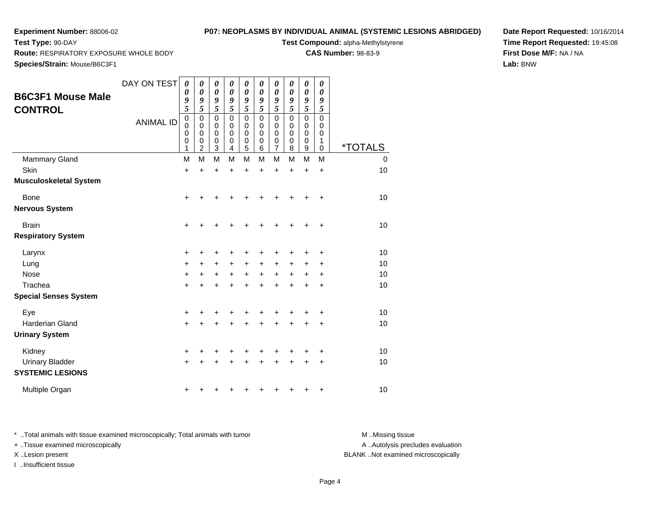**Test Type:** 90-DAY

# **P07: NEOPLASMS BY INDIVIDUAL ANIMAL (SYSTEMIC LESIONS ABRIDGED)**

**Test Compound:** alpha-Methylstyrene

**CAS Number:** 98-83-9

**Date Report Requested:** 10/16/2014**Time Report Requested:** 19:45:08**First Dose M/F:** NA / NA**Lab:** BNW

**Route:** RESPIRATORY EXPOSURE WHOLE BODY

**Species/Strain:** Mouse/B6C3F1

| <b>B6C3F1 Mouse Male</b><br><b>CONTROL</b>        | DAY ON TEST      | 0<br>0<br>9<br>5                                  | 0<br>$\boldsymbol{\theta}$<br>9<br>5                           | 0<br>$\boldsymbol{\theta}$<br>9<br>5            | 0<br>$\boldsymbol{\theta}$<br>9<br>5      | 0<br>0<br>9<br>5                | 0<br>$\theta$<br>9<br>5                   | 0<br>$\boldsymbol{\theta}$<br>9<br>5                | 0<br>$\boldsymbol{\theta}$<br>9<br>5      | 0<br>0<br>9<br>5      | 0<br>$\boldsymbol{\theta}$<br>9<br>5      |                       |
|---------------------------------------------------|------------------|---------------------------------------------------|----------------------------------------------------------------|-------------------------------------------------|-------------------------------------------|---------------------------------|-------------------------------------------|-----------------------------------------------------|-------------------------------------------|-----------------------|-------------------------------------------|-----------------------|
|                                                   | <b>ANIMAL ID</b> | $\mathbf 0$<br>$\pmb{0}$<br>0<br>$\mathbf 0$<br>1 | $\pmb{0}$<br>$\mathbf 0$<br>$\mathbf 0$<br>0<br>$\overline{2}$ | $\pmb{0}$<br>$\pmb{0}$<br>$\mathbf 0$<br>0<br>3 | $\mathbf 0$<br>0<br>$\mathbf 0$<br>0<br>4 | $\mathbf 0$<br>0<br>0<br>0<br>5 | $\mathbf 0$<br>$\mathbf 0$<br>0<br>0<br>6 | $\mathbf 0$<br>$\mathbf 0$<br>$\mathbf 0$<br>0<br>7 | $\mathbf 0$<br>$\mathbf 0$<br>0<br>0<br>8 | 0<br>0<br>0<br>0<br>9 | $\mathbf 0$<br>0<br>$\mathbf 0$<br>1<br>0 | <i><b>*TOTALS</b></i> |
| <b>Mammary Gland</b>                              |                  | M                                                 | M                                                              | M                                               | M                                         | M                               | M                                         | M                                                   | M                                         | M                     | M                                         | 0                     |
| Skin                                              |                  | $\ddot{}$                                         | $\ddot{}$                                                      | +                                               | $\ddot{}$                                 | $\ddot{}$                       | $\ddot{}$                                 | $\ddot{}$                                           | $\ddot{}$                                 | $\ddot{}$             | $\ddot{}$                                 | 10                    |
| <b>Musculoskeletal System</b>                     |                  |                                                   |                                                                |                                                 |                                           |                                 |                                           |                                                     |                                           |                       |                                           |                       |
| <b>Bone</b>                                       |                  | $\ddot{}$                                         |                                                                |                                                 |                                           |                                 |                                           |                                                     |                                           |                       | +                                         | 10                    |
| <b>Nervous System</b>                             |                  |                                                   |                                                                |                                                 |                                           |                                 |                                           |                                                     |                                           |                       |                                           |                       |
| <b>Brain</b>                                      |                  | +                                                 |                                                                |                                                 |                                           |                                 |                                           |                                                     |                                           |                       | +                                         | 10                    |
| <b>Respiratory System</b>                         |                  |                                                   |                                                                |                                                 |                                           |                                 |                                           |                                                     |                                           |                       |                                           |                       |
| Larynx                                            |                  | +                                                 | +                                                              | +                                               | +                                         | +                               | +                                         | +                                                   |                                           |                       | +                                         | 10                    |
| Lung                                              |                  | +                                                 | $\pm$                                                          | $\ddot{}$                                       | $\pm$                                     | +                               | +                                         | +                                                   | +                                         | $\pm$                 | +                                         | 10                    |
| <b>Nose</b>                                       |                  | $\ddot{}$                                         | +                                                              | $\ddot{}$                                       | $\ddot{}$                                 | $\ddot{}$                       | $\ddot{}$                                 | $\ddot{}$                                           | $\ddot{}$                                 | +                     | +                                         | 10                    |
| Trachea                                           |                  | $\ddot{}$                                         | +                                                              | $\ddot{}$                                       |                                           | $\ddot{}$                       |                                           | +                                                   |                                           | +                     | +                                         | 10                    |
| <b>Special Senses System</b>                      |                  |                                                   |                                                                |                                                 |                                           |                                 |                                           |                                                     |                                           |                       |                                           |                       |
| Eye                                               |                  | +                                                 | +                                                              | +                                               | +                                         | +                               | +                                         | +                                                   | +                                         |                       | +                                         | 10                    |
| Harderian Gland                                   |                  | $\ddot{}$                                         |                                                                |                                                 |                                           | $\ddot{}$                       | Ŧ.                                        | +                                                   | $\ddot{}$                                 | +                     | $\ddot{}$                                 | 10                    |
| <b>Urinary System</b>                             |                  |                                                   |                                                                |                                                 |                                           |                                 |                                           |                                                     |                                           |                       |                                           |                       |
| Kidney                                            |                  | +                                                 | +                                                              | +                                               |                                           |                                 |                                           |                                                     |                                           | +                     | +                                         | 10                    |
| <b>Urinary Bladder</b><br><b>SYSTEMIC LESIONS</b> |                  | $\ddot{}$                                         |                                                                |                                                 |                                           |                                 |                                           |                                                     |                                           | $\ddot{}$             | +                                         | 10                    |
| Multiple Organ                                    |                  | +                                                 | ٠                                                              |                                                 |                                           |                                 |                                           |                                                     |                                           | ٠                     | +                                         | 10                    |

\* ..Total animals with tissue examined microscopically; Total animals with tumor **M** . Missing tissue M ..Missing tissue + ..Tissue examined microscopically

I ..Insufficient tissue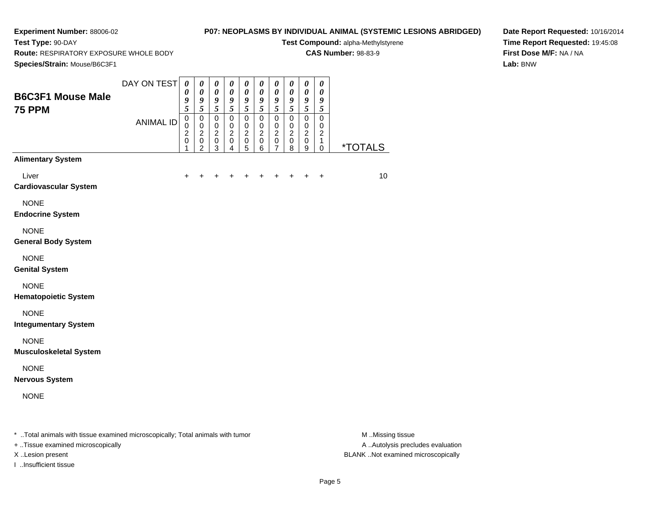**Test Type:** 90-DAY

# **P07: NEOPLASMS BY INDIVIDUAL ANIMAL (SYSTEMIC LESIONS ABRIDGED)**

**Test Compound:** alpha-Methylstyrene

**CAS Number:** 98-83-9

**Species/Strain:** Mouse/B6C3F1

**Route:** RESPIRATORY EXPOSURE WHOLE BODY

**Date Report Requested:** 10/16/2014**Time Report Requested:** 19:45:08**First Dose M/F:** NA / NA**Lab:** BNW

| Species/Strain: Mouse/B6C3F1                                                   |                  |                                      |                                                                   |                                                                           |                                                              |                                                                    |                                                                |                                                                |                                                |                                                                |                                              |                       |
|--------------------------------------------------------------------------------|------------------|--------------------------------------|-------------------------------------------------------------------|---------------------------------------------------------------------------|--------------------------------------------------------------|--------------------------------------------------------------------|----------------------------------------------------------------|----------------------------------------------------------------|------------------------------------------------|----------------------------------------------------------------|----------------------------------------------|-----------------------|
| <b>B6C3F1 Mouse Male</b><br><b>75 PPM</b>                                      | DAY ON TEST      | $\boldsymbol{\theta}$<br>0<br>9<br>5 | $\boldsymbol{\theta}$<br>$\boldsymbol{\theta}$<br>9<br>$\sqrt{5}$ | $\boldsymbol{\theta}$<br>$\pmb{\theta}$<br>$\boldsymbol{g}$<br>$\sqrt{5}$ | $\pmb{\theta}$<br>$\pmb{\theta}$<br>9<br>$\mathfrak{s}$      | $\boldsymbol{\theta}$<br>$\boldsymbol{\theta}$<br>9<br>5           | $\boldsymbol{\theta}$<br>$\pmb{\theta}$<br>9<br>$\sqrt{5}$     | $\boldsymbol{\theta}$<br>$\pmb{\theta}$<br>9<br>5              | 0<br>0<br>9<br>5                               | $\boldsymbol{\theta}$<br>$\pmb{\theta}$<br>9<br>5              | $\boldsymbol{\theta}$<br>0<br>9<br>5         |                       |
|                                                                                | <b>ANIMAL ID</b> | $\mathbf 0$<br>0<br>2<br>0<br>1      | $\mathbf 0$<br>$\mathbf 0$<br>$\overline{c}$<br>$\pmb{0}$<br>2    | $\pmb{0}$<br>$\pmb{0}$<br>$\boldsymbol{2}$<br>$\pmb{0}$<br>3              | $\pmb{0}$<br>$\mathbf 0$<br>$\overline{c}$<br>$\pmb{0}$<br>4 | $\mathbf 0$<br>$\mathbf 0$<br>$\boldsymbol{2}$<br>$\mathsf 0$<br>5 | $\mathbf 0$<br>$\mathbf 0$<br>$\overline{c}$<br>$\pmb{0}$<br>6 | $\pmb{0}$<br>$\mathbf 0$<br>$\boldsymbol{2}$<br>$\pmb{0}$<br>7 | $\mathbf 0$<br>$\pmb{0}$<br>$\frac{2}{0}$<br>8 | $\mathbf 0$<br>$\mathbf 0$<br>$\overline{c}$<br>$\pmb{0}$<br>9 | $\mathbf 0$<br>0<br>$\overline{c}$<br>1<br>0 | <i><b>*TOTALS</b></i> |
| <b>Alimentary System</b>                                                       |                  |                                      |                                                                   |                                                                           |                                                              |                                                                    |                                                                |                                                                |                                                |                                                                |                                              |                       |
| Liver<br><b>Cardiovascular System</b>                                          |                  | ٠                                    |                                                                   |                                                                           |                                                              |                                                                    |                                                                |                                                                |                                                |                                                                | $\ddot{}$                                    | 10                    |
| <b>NONE</b><br><b>Endocrine System</b>                                         |                  |                                      |                                                                   |                                                                           |                                                              |                                                                    |                                                                |                                                                |                                                |                                                                |                                              |                       |
| <b>NONE</b><br><b>General Body System</b>                                      |                  |                                      |                                                                   |                                                                           |                                                              |                                                                    |                                                                |                                                                |                                                |                                                                |                                              |                       |
| <b>NONE</b><br><b>Genital System</b>                                           |                  |                                      |                                                                   |                                                                           |                                                              |                                                                    |                                                                |                                                                |                                                |                                                                |                                              |                       |
| <b>NONE</b><br><b>Hematopoietic System</b>                                     |                  |                                      |                                                                   |                                                                           |                                                              |                                                                    |                                                                |                                                                |                                                |                                                                |                                              |                       |
| <b>NONE</b><br><b>Integumentary System</b>                                     |                  |                                      |                                                                   |                                                                           |                                                              |                                                                    |                                                                |                                                                |                                                |                                                                |                                              |                       |
| <b>NONE</b><br><b>Musculoskeletal System</b>                                   |                  |                                      |                                                                   |                                                                           |                                                              |                                                                    |                                                                |                                                                |                                                |                                                                |                                              |                       |
| <b>NONE</b><br><b>Nervous System</b>                                           |                  |                                      |                                                                   |                                                                           |                                                              |                                                                    |                                                                |                                                                |                                                |                                                                |                                              |                       |
| <b>NONE</b>                                                                    |                  |                                      |                                                                   |                                                                           |                                                              |                                                                    |                                                                |                                                                |                                                |                                                                |                                              |                       |
| * Total animals with tissue examined microscopically; Total animals with tumor |                  |                                      |                                                                   |                                                                           |                                                              |                                                                    |                                                                |                                                                |                                                |                                                                |                                              | M.Missing tissue      |

+ ..Tissue examined microscopically

I ..Insufficient tissue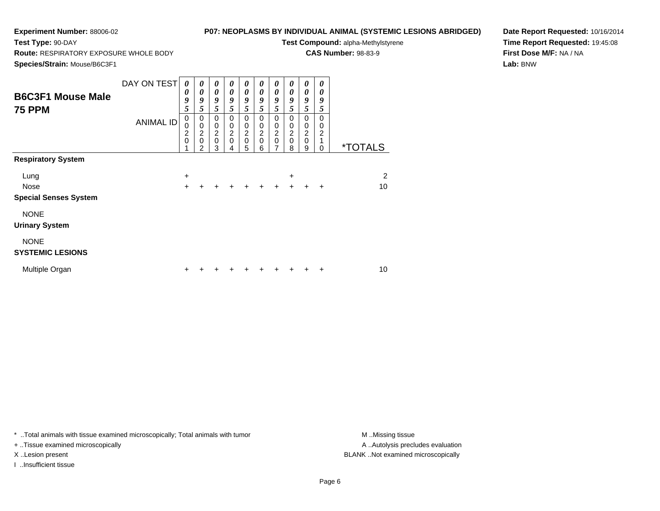**Test Type:** 90-DAY

# **P07: NEOPLASMS BY INDIVIDUAL ANIMAL (SYSTEMIC LESIONS ABRIDGED)**

**Test Compound:** alpha-Methylstyrene

**CAS Number:** 98-83-9

**Species/Strain:** Mouse/B6C3F1

**Route:** RESPIRATORY EXPOSURE WHOLE BODY

**Date Report Requested:** 10/16/2014**Time Report Requested:** 19:45:08**First Dose M/F:** NA / NA**Lab:** BNW

| <b>B6C3F1 Mouse Male</b><br><b>75 PPM</b> | DAY ON TEST<br><b>ANIMAL ID</b> | 0<br>0<br>9<br>5<br>$\pmb{0}$<br>0 | 0<br>$\boldsymbol{\theta}$<br>9<br>5<br>$\pmb{0}$<br>$\pmb{0}$ | 0<br>0<br>9<br>5<br>$\mathbf 0$                | 0<br>0<br>9<br>5<br>$\mathbf 0$<br>$\mathbf 0$ | 0<br>$\boldsymbol{\theta}$<br>9<br>5<br>$\mathbf 0$<br>$\mathbf 0$ | 0<br>0<br>9<br>5<br>0<br>0 | 0<br>0<br>9<br>5<br>0<br>$\pmb{0}$ | 0<br>0<br>9<br>5<br>$\Omega$<br>$\mathbf 0$ | 0<br>0<br>9<br>5<br>$\mathbf 0$<br>$\mathbf 0$ | 0<br>0<br>9<br>5<br>$\mathbf 0$<br>0 |                       |
|-------------------------------------------|---------------------------------|------------------------------------|----------------------------------------------------------------|------------------------------------------------|------------------------------------------------|--------------------------------------------------------------------|----------------------------|------------------------------------|---------------------------------------------|------------------------------------------------|--------------------------------------|-----------------------|
|                                           |                                 | $\frac{2}{0}$                      | $\frac{2}{0}$<br>2                                             | $\begin{matrix} 0 \\ 2 \\ 0 \end{matrix}$<br>3 | $\overline{c}$<br>$\mathbf 0$<br>4             | $\frac{2}{0}$<br>5                                                 | $\frac{2}{0}$<br>6         | $\frac{2}{0}$<br>$\overline{7}$    | $\boldsymbol{2}$<br>$\mathbf 0$<br>8        | $\frac{2}{0}$<br>9                             | $\overline{c}$<br>1<br>$\Omega$      | <i><b>*TOTALS</b></i> |
| <b>Respiratory System</b>                 |                                 |                                    |                                                                |                                                |                                                |                                                                    |                            |                                    |                                             |                                                |                                      |                       |
| Lung<br><b>Nose</b>                       |                                 | +<br>$\ddot{}$                     |                                                                |                                                | $\ddot{}$                                      | ÷                                                                  | $\ddot{}$                  | $\ddot{}$                          | +<br>$+$                                    | $+$                                            | $\ddot{}$                            | 2<br>10               |
| <b>Special Senses System</b>              |                                 |                                    |                                                                |                                                |                                                |                                                                    |                            |                                    |                                             |                                                |                                      |                       |
| <b>NONE</b><br><b>Urinary System</b>      |                                 |                                    |                                                                |                                                |                                                |                                                                    |                            |                                    |                                             |                                                |                                      |                       |
| <b>NONE</b><br><b>SYSTEMIC LESIONS</b>    |                                 |                                    |                                                                |                                                |                                                |                                                                    |                            |                                    |                                             |                                                |                                      |                       |
| Multiple Organ                            |                                 | +                                  |                                                                |                                                |                                                |                                                                    |                            |                                    |                                             |                                                |                                      | 10                    |

\* ..Total animals with tissue examined microscopically; Total animals with tumor **M** . Missing tissue M ..Missing tissue

+ ..Tissue examined microscopically

I ..Insufficient tissue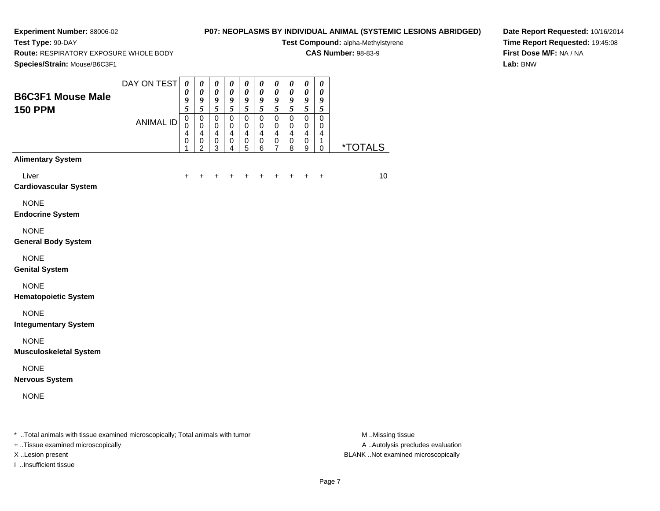**Test Type:** 90-DAY

# **P07: NEOPLASMS BY INDIVIDUAL ANIMAL (SYSTEMIC LESIONS ABRIDGED)**

**Test Compound:** alpha-Methylstyrene

**CAS Number:** 98-83-9

**Route:** RESPIRATORY EXPOSURE WHOLE BODY

**Date Report Requested:** 10/16/2014**Time Report Requested:** 19:45:08**First Dose M/F:** NA / NA**Lab:** BNW

|                                                                                | DAY ON TEST      | $\pmb{\theta}$<br>$\boldsymbol{\theta}$ | $\boldsymbol{\theta}$<br>$\boldsymbol{\theta}$ | $\pmb{\theta}$<br>$\pmb{\theta}$   | $\boldsymbol{\theta}$<br>$\pmb{\theta}$ | $\boldsymbol{\theta}$<br>$\pmb{\theta}$ | $\pmb{\theta}$<br>$\pmb{\theta}$ | $\pmb{\theta}$<br>$\pmb{\theta}$ | 0<br>$\pmb{\theta}$ | $\boldsymbol{\theta}$<br>$\pmb{\theta}$     | $\boldsymbol{\theta}$<br>$\pmb{\theta}$ |                       |
|--------------------------------------------------------------------------------|------------------|-----------------------------------------|------------------------------------------------|------------------------------------|-----------------------------------------|-----------------------------------------|----------------------------------|----------------------------------|---------------------|---------------------------------------------|-----------------------------------------|-----------------------|
| <b>B6C3F1 Mouse Male</b><br><b>150 PPM</b>                                     |                  | 9<br>$\overline{5}$                     | $\pmb{9}$<br>$\overline{\mathbf{5}}$           | $\pmb{9}$<br>$\overline{5}$        | $\boldsymbol{g}$<br>$\overline{5}$      | 9<br>5                                  | $\frac{9}{5}$                    | 9<br>$\overline{\mathbf{5}}$     | 9<br>5              | $\boldsymbol{g}$<br>$\overline{\mathbf{5}}$ | 9<br>$\overline{\mathbf{5}}$            |                       |
|                                                                                | <b>ANIMAL ID</b> | $\pmb{0}$<br>$\mathbf 0$                | $\pmb{0}$<br>$\mathbf 0$                       | $\pmb{0}$<br>$\mathbf 0$           | $\mathsf 0$<br>$\mathbf 0$              | $\pmb{0}$<br>0                          | $\pmb{0}$<br>$\mathbf 0$         | $\mathbf 0$<br>$\mathbf 0$       | $\mathbf 0$<br>0    | $\mathsf 0$<br>$\mathbf 0$                  | 0<br>0                                  |                       |
|                                                                                |                  | 4<br>$\pmb{0}$<br>1                     | $\overline{4}$<br>$\pmb{0}$<br>$\overline{2}$  | $\overline{4}$<br>$\mathbf 0$<br>3 | $\overline{4}$<br>$\mathbf 0$<br>4      | $\overline{4}$<br>$\pmb{0}$<br>5        | $\overline{4}$<br>$\pmb{0}$<br>6 | 4<br>$\mathbf 0$<br>7            | 4<br>$\pmb{0}$<br>8 | $\overline{4}$<br>$\pmb{0}$<br>9            | 4<br>1<br>0                             | <i><b>*TOTALS</b></i> |
| <b>Alimentary System</b>                                                       |                  |                                         |                                                |                                    |                                         |                                         |                                  |                                  |                     |                                             |                                         |                       |
| Liver                                                                          |                  | $\ddot{}$                               | +                                              |                                    |                                         |                                         |                                  |                                  | ٠                   |                                             | $\ddot{}$                               | 10                    |
| <b>Cardiovascular System</b>                                                   |                  |                                         |                                                |                                    |                                         |                                         |                                  |                                  |                     |                                             |                                         |                       |
| <b>NONE</b>                                                                    |                  |                                         |                                                |                                    |                                         |                                         |                                  |                                  |                     |                                             |                                         |                       |
| <b>Endocrine System</b>                                                        |                  |                                         |                                                |                                    |                                         |                                         |                                  |                                  |                     |                                             |                                         |                       |
| <b>NONE</b>                                                                    |                  |                                         |                                                |                                    |                                         |                                         |                                  |                                  |                     |                                             |                                         |                       |
| <b>General Body System</b>                                                     |                  |                                         |                                                |                                    |                                         |                                         |                                  |                                  |                     |                                             |                                         |                       |
| <b>NONE</b>                                                                    |                  |                                         |                                                |                                    |                                         |                                         |                                  |                                  |                     |                                             |                                         |                       |
| <b>Genital System</b>                                                          |                  |                                         |                                                |                                    |                                         |                                         |                                  |                                  |                     |                                             |                                         |                       |
| <b>NONE</b>                                                                    |                  |                                         |                                                |                                    |                                         |                                         |                                  |                                  |                     |                                             |                                         |                       |
| <b>Hematopoietic System</b>                                                    |                  |                                         |                                                |                                    |                                         |                                         |                                  |                                  |                     |                                             |                                         |                       |
| <b>NONE</b><br><b>Integumentary System</b>                                     |                  |                                         |                                                |                                    |                                         |                                         |                                  |                                  |                     |                                             |                                         |                       |
|                                                                                |                  |                                         |                                                |                                    |                                         |                                         |                                  |                                  |                     |                                             |                                         |                       |
| <b>NONE</b><br><b>Musculoskeletal System</b>                                   |                  |                                         |                                                |                                    |                                         |                                         |                                  |                                  |                     |                                             |                                         |                       |
|                                                                                |                  |                                         |                                                |                                    |                                         |                                         |                                  |                                  |                     |                                             |                                         |                       |
| <b>NONE</b><br><b>Nervous System</b>                                           |                  |                                         |                                                |                                    |                                         |                                         |                                  |                                  |                     |                                             |                                         |                       |
|                                                                                |                  |                                         |                                                |                                    |                                         |                                         |                                  |                                  |                     |                                             |                                         |                       |
| <b>NONE</b>                                                                    |                  |                                         |                                                |                                    |                                         |                                         |                                  |                                  |                     |                                             |                                         |                       |
|                                                                                |                  |                                         |                                                |                                    |                                         |                                         |                                  |                                  |                     |                                             |                                         |                       |
| * Total animals with tissue examined microscopically; Total animals with tumor |                  |                                         |                                                |                                    |                                         |                                         |                                  |                                  |                     |                                             |                                         | M Missing tissue      |

+ ..Tissue examined microscopically

I ..Insufficient tissue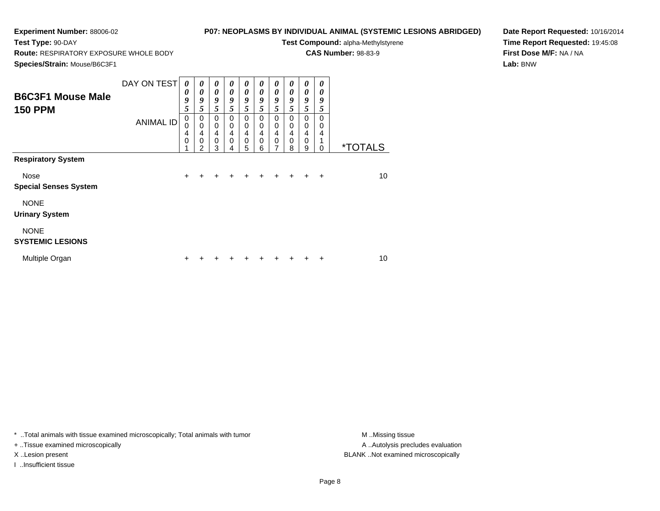**Test Type:** 90-DAY

# **P07: NEOPLASMS BY INDIVIDUAL ANIMAL (SYSTEMIC LESIONS ABRIDGED)**

**Test Compound:** alpha-Methylstyrene

**CAS Number:** 98-83-9

**Species/Strain:** Mouse/B6C3F1

**Route:** RESPIRATORY EXPOSURE WHOLE BODY

**Date Report Requested:** 10/16/2014**Time Report Requested:** 19:45:08**First Dose M/F:** NA / NA**Lab:** BNW

| <b>B6C3F1 Mouse Male</b><br><b>150 PPM</b>                               | DAY ON TEST<br><b>ANIMAL ID</b> | $\theta$<br>0<br>9<br>5<br>$\pmb{0}$ | 0<br>$\boldsymbol{\theta}$<br>9<br>5<br>$\mathbf 0$<br>$\mathbf 0$ | 0<br>$\boldsymbol{\theta}$<br>9<br>5<br>$\mathbf 0$ | $\boldsymbol{\theta}$<br>$\boldsymbol{\theta}$<br>9<br>5<br>$\mathbf 0$<br>$\mathbf 0$ | 0<br>0<br>9<br>5<br>0      | 0<br>0<br>9<br>5<br>$\Omega$<br>$\Omega$ | 0<br>0<br>9<br>5<br>0 | 0<br>$\boldsymbol{\theta}$<br>9<br>5<br>$\Omega$<br>$\mathbf 0$ | 0<br>0<br>9<br>5<br>$\mathbf 0$ | 0<br>0<br>9<br>5<br>$\Omega$ |                       |
|--------------------------------------------------------------------------|---------------------------------|--------------------------------------|--------------------------------------------------------------------|-----------------------------------------------------|----------------------------------------------------------------------------------------|----------------------------|------------------------------------------|-----------------------|-----------------------------------------------------------------|---------------------------------|------------------------------|-----------------------|
|                                                                          |                                 | 0<br>4<br>$\mathbf 0$                | 4<br>$\mathbf 0$<br>2                                              | $\mathbf 0$<br>$\overline{4}$<br>$\mathbf 0$<br>3   | $\overline{4}$<br>$\mathbf 0$<br>4                                                     | 0<br>4<br>$\mathbf 0$<br>5 | 4<br>$\Omega$<br>6                       | 0<br>4<br>0<br>7      | 4<br>0<br>8                                                     | 0<br>4<br>0<br>9                | 0<br>4<br>1<br>0             | <i><b>*TOTALS</b></i> |
| <b>Respiratory System</b><br><b>Nose</b><br><b>Special Senses System</b> |                                 | $\ddot{}$                            |                                                                    |                                                     |                                                                                        | +                          | $\div$                                   |                       | $+$                                                             | $\div$                          | $\ddot{}$                    | 10                    |
| <b>NONE</b><br><b>Urinary System</b>                                     |                                 |                                      |                                                                    |                                                     |                                                                                        |                            |                                          |                       |                                                                 |                                 |                              |                       |
| <b>NONE</b><br><b>SYSTEMIC LESIONS</b>                                   |                                 |                                      |                                                                    |                                                     |                                                                                        |                            |                                          |                       |                                                                 |                                 |                              |                       |
| Multiple Organ                                                           |                                 | +                                    |                                                                    |                                                     |                                                                                        |                            |                                          |                       |                                                                 |                                 | ÷                            | 10                    |

\* ..Total animals with tissue examined microscopically; Total animals with tumor **M** . Missing tissue M ..Missing tissue

+ ..Tissue examined microscopically

I ..Insufficient tissue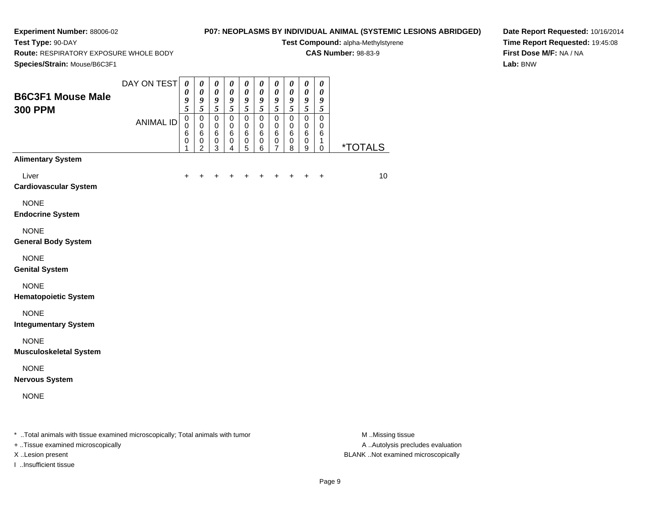**Test Type:** 90-DAY

# **P07: NEOPLASMS BY INDIVIDUAL ANIMAL (SYSTEMIC LESIONS ABRIDGED)**

**Test Compound:** alpha-Methylstyrene

**CAS Number:** 98-83-9

**Species/Strain:** Mouse/B6C3F1

**Route:** RESPIRATORY EXPOSURE WHOLE BODY

**Date Report Requested:** 10/16/2014**Time Report Requested:** 19:45:08**First Dose M/F:** NA / NA**Lab:** BNW

| Species/Strain: Mouse/B6C3F1                                                   |                  |                                         |                                                          |                                                                         |                                      |                                       |                                            |                                                                  |                                                 |                                                                           |                                                          |                       |
|--------------------------------------------------------------------------------|------------------|-----------------------------------------|----------------------------------------------------------|-------------------------------------------------------------------------|--------------------------------------|---------------------------------------|--------------------------------------------|------------------------------------------------------------------|-------------------------------------------------|---------------------------------------------------------------------------|----------------------------------------------------------|-----------------------|
| <b>B6C3F1 Mouse Male</b><br><b>300 PPM</b>                                     | DAY ON TEST      | $\boldsymbol{\theta}$<br>0<br>9<br>5    | $\boldsymbol{\theta}$<br>$\boldsymbol{\theta}$<br>9<br>5 | $\boldsymbol{\theta}$<br>$\boldsymbol{\theta}$<br>$\boldsymbol{g}$<br>5 | 0<br>$\boldsymbol{\theta}$<br>9<br>5 | $\boldsymbol{\theta}$<br>0<br>9<br>5  | $\pmb{\theta}$<br>0<br>9<br>$\mathfrak{s}$ | $\pmb{\theta}$<br>$\boldsymbol{\theta}$<br>$\boldsymbol{g}$<br>5 | 0<br>0<br>9<br>$\sqrt{5}$                       | $\pmb{\theta}$<br>$\boldsymbol{\theta}$<br>$\boldsymbol{g}$<br>$\sqrt{5}$ | $\boldsymbol{\theta}$<br>$\boldsymbol{\theta}$<br>9<br>5 |                       |
|                                                                                | <b>ANIMAL ID</b> | $\pmb{0}$<br>$\mathbf 0$<br>6<br>0<br>1 | 0<br>$\mathbf 0$<br>6<br>0<br>2                          | $\pmb{0}$<br>$\mathbf 0$<br>6<br>$\pmb{0}$<br>3                         | 0<br>$\mathbf 0$<br>6<br>0<br>4      | $\pmb{0}$<br>0<br>6<br>$\pmb{0}$<br>5 | $\mathbf 0$<br>0<br>6<br>$\pmb{0}$<br>6    | $\mathbf 0$<br>$\mathbf 0$<br>6<br>$\mathbf 0$<br>7              | $\pmb{0}$<br>$\mathbf 0$<br>6<br>$\pmb{0}$<br>8 | 0<br>$\mathbf 0$<br>6<br>$\mathbf 0$<br>9                                 | $\mathbf 0$<br>$\mathbf 0$<br>6<br>1<br>$\mathbf 0$      | <i><b>*TOTALS</b></i> |
| <b>Alimentary System</b>                                                       |                  |                                         |                                                          |                                                                         |                                      |                                       |                                            |                                                                  |                                                 |                                                                           |                                                          |                       |
| Liver<br><b>Cardiovascular System</b>                                          |                  | $\div$                                  |                                                          |                                                                         |                                      | ٠                                     | ٠                                          | $\ddot{}$                                                        | $\ddot{}$                                       | $\ddot{}$                                                                 | $\ddot{}$                                                | 10                    |
| <b>NONE</b><br><b>Endocrine System</b>                                         |                  |                                         |                                                          |                                                                         |                                      |                                       |                                            |                                                                  |                                                 |                                                                           |                                                          |                       |
| <b>NONE</b><br><b>General Body System</b>                                      |                  |                                         |                                                          |                                                                         |                                      |                                       |                                            |                                                                  |                                                 |                                                                           |                                                          |                       |
| <b>NONE</b><br><b>Genital System</b>                                           |                  |                                         |                                                          |                                                                         |                                      |                                       |                                            |                                                                  |                                                 |                                                                           |                                                          |                       |
| <b>NONE</b><br><b>Hematopoietic System</b>                                     |                  |                                         |                                                          |                                                                         |                                      |                                       |                                            |                                                                  |                                                 |                                                                           |                                                          |                       |
| <b>NONE</b><br><b>Integumentary System</b>                                     |                  |                                         |                                                          |                                                                         |                                      |                                       |                                            |                                                                  |                                                 |                                                                           |                                                          |                       |
| <b>NONE</b><br><b>Musculoskeletal System</b>                                   |                  |                                         |                                                          |                                                                         |                                      |                                       |                                            |                                                                  |                                                 |                                                                           |                                                          |                       |
| <b>NONE</b><br><b>Nervous System</b>                                           |                  |                                         |                                                          |                                                                         |                                      |                                       |                                            |                                                                  |                                                 |                                                                           |                                                          |                       |
| <b>NONE</b>                                                                    |                  |                                         |                                                          |                                                                         |                                      |                                       |                                            |                                                                  |                                                 |                                                                           |                                                          |                       |
| * Total animals with tissue examined microscopically; Total animals with tumor |                  |                                         |                                                          |                                                                         |                                      |                                       |                                            |                                                                  |                                                 |                                                                           |                                                          | M Missing tissue      |

+ ..Tissue examined microscopically

I ..Insufficient tissue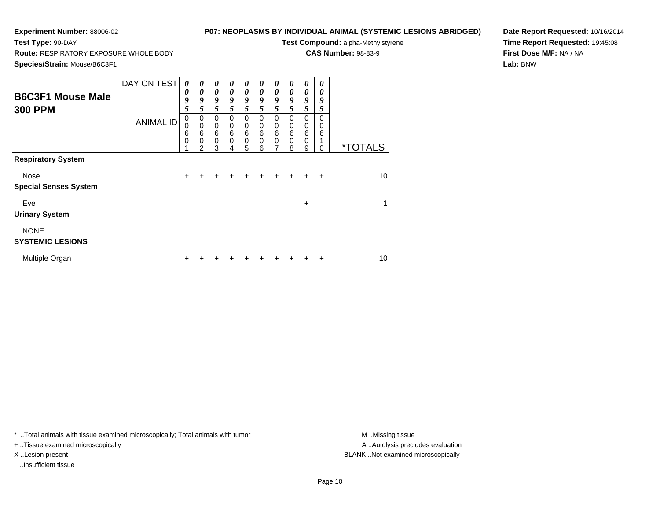**Test Type:** 90-DAY

# **P07: NEOPLASMS BY INDIVIDUAL ANIMAL (SYSTEMIC LESIONS ABRIDGED)**

**Test Compound:** alpha-Methylstyrene

**CAS Number:** 98-83-9

**Species/Strain:** Mouse/B6C3F1

**Route:** RESPIRATORY EXPOSURE WHOLE BODY

**Date Report Requested:** 10/16/2014**Time Report Requested:** 19:45:08**First Dose M/F:** NA / NA**Lab:** BNW

| <b>B6C3F1 Mouse Male</b><br><b>300 PPM</b> | DAY ON TEST<br><b>ANIMAL ID</b> | $\boldsymbol{\theta}$<br>$\boldsymbol{\theta}$<br>9<br>5<br>0<br>$\mathbf 0$<br>$\,6$<br>$\mathbf 0$ | $\boldsymbol{\theta}$<br>0<br>9<br>5<br>0<br>$\mathbf 0$<br>6<br>$\mathbf 0$<br>$\overline{2}$ | 0<br>$\boldsymbol{\theta}$<br>9<br>5<br>0<br>0<br>6<br>$\pmb{0}$<br>3 | 0<br>$\boldsymbol{\theta}$<br>9<br>5<br>0<br>0<br>6<br>0 | 0<br>0<br>9<br>5<br>0<br>0<br>6<br>$\mathbf 0$<br>5 | 0<br>0<br>9<br>5<br>0<br>$\mathbf 0$<br>6<br>0<br>6 | 0<br>0<br>9<br>5<br>0<br>$\mathbf 0$<br>6<br>$\mathbf 0$<br>7 | 0<br>$\boldsymbol{\theta}$<br>9<br>5<br>$\Omega$<br>0<br>6<br>$\mathbf 0$<br>8 | 0<br>0<br>9<br>5<br>0<br>0<br>$6\phantom{1}6$<br>$\mathbf 0$<br>9 | 0<br>0<br>9<br>5<br>$\Omega$<br>$\mathbf 0$<br>6<br>0 | <i><b>*TOTALS</b></i> |
|--------------------------------------------|---------------------------------|------------------------------------------------------------------------------------------------------|------------------------------------------------------------------------------------------------|-----------------------------------------------------------------------|----------------------------------------------------------|-----------------------------------------------------|-----------------------------------------------------|---------------------------------------------------------------|--------------------------------------------------------------------------------|-------------------------------------------------------------------|-------------------------------------------------------|-----------------------|
| <b>Respiratory System</b>                  |                                 |                                                                                                      |                                                                                                |                                                                       |                                                          |                                                     |                                                     |                                                               |                                                                                |                                                                   |                                                       |                       |
| Nose<br><b>Special Senses System</b>       |                                 | $\ddot{}$                                                                                            |                                                                                                | +                                                                     |                                                          |                                                     |                                                     |                                                               | $\ddot{}$                                                                      | $\ddot{}$                                                         | $\ddot{}$                                             | 10                    |
| Eye<br><b>Urinary System</b>               |                                 |                                                                                                      |                                                                                                |                                                                       |                                                          |                                                     |                                                     |                                                               |                                                                                | $\ddot{}$                                                         |                                                       | 1                     |
| <b>NONE</b><br><b>SYSTEMIC LESIONS</b>     |                                 |                                                                                                      |                                                                                                |                                                                       |                                                          |                                                     |                                                     |                                                               |                                                                                |                                                                   |                                                       |                       |
| Multiple Organ                             |                                 | ٠                                                                                                    |                                                                                                |                                                                       |                                                          |                                                     |                                                     |                                                               |                                                                                |                                                                   | ٠                                                     | 10                    |

\* ..Total animals with tissue examined microscopically; Total animals with tumor **M** . Missing tissue M ..Missing tissue

+ ..Tissue examined microscopically

I ..Insufficient tissue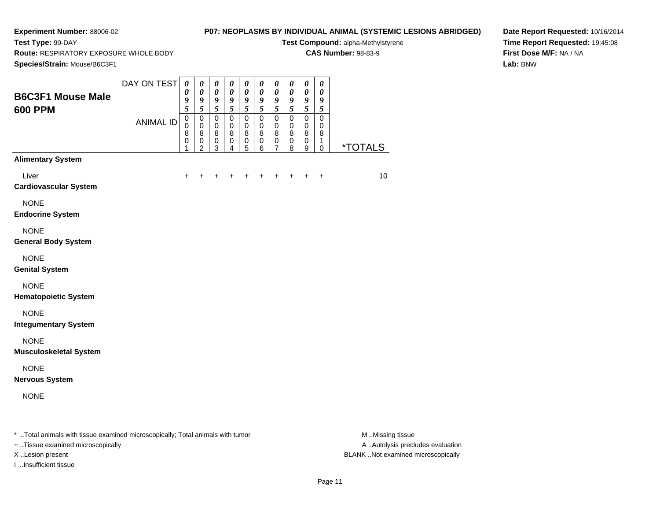**Route:** RESPIRATORY EXPOSURE WHOLE BODY

**Test Type:** 90-DAY

# **P07: NEOPLASMS BY INDIVIDUAL ANIMAL (SYSTEMIC LESIONS ABRIDGED)**

**Test Compound:** alpha-Methylstyrene

**CAS Number:** 98-83-9

**Date Report Requested:** 10/16/2014**Time Report Requested:** 19:45:08**First Dose M/F:** NA / NA**Lab:** BNW

| Species/Strain: Mouse/B6C3F1                                                   |                  |                                                                         |                                                                                      |                                                    |                                                                         |                                                   |                                                    |                                                   |                               |                                                           |                                                          |                       |
|--------------------------------------------------------------------------------|------------------|-------------------------------------------------------------------------|--------------------------------------------------------------------------------------|----------------------------------------------------|-------------------------------------------------------------------------|---------------------------------------------------|----------------------------------------------------|---------------------------------------------------|-------------------------------|-----------------------------------------------------------|----------------------------------------------------------|-----------------------|
| <b>B6C3F1 Mouse Male</b><br><b>600 PPM</b>                                     | DAY ON TEST      | $\boldsymbol{\theta}$<br>$\boldsymbol{\theta}$<br>$\boldsymbol{g}$<br>5 | $\boldsymbol{\theta}$<br>$\boldsymbol{\theta}$<br>$\boldsymbol{9}$<br>$\mathfrak{s}$ | $\pmb{\theta}$<br>$\pmb{\theta}$<br>$\pmb{9}$<br>5 | $\boldsymbol{\theta}$<br>$\boldsymbol{\theta}$<br>$\boldsymbol{g}$<br>5 | $\pmb{\theta}$<br>$\boldsymbol{\theta}$<br>9<br>5 | $\pmb{\theta}$<br>$\pmb{\theta}$<br>$\pmb{9}$<br>5 | $\pmb{\theta}$<br>$\boldsymbol{\theta}$<br>9<br>5 | 0<br>0<br>9<br>5              | $\pmb{\theta}$<br>$\pmb{\theta}$<br>$\boldsymbol{g}$<br>5 | $\boldsymbol{\theta}$<br>$\boldsymbol{\theta}$<br>9<br>5 |                       |
|                                                                                | <b>ANIMAL ID</b> | $\pmb{0}$<br>0<br>8<br>$\pmb{0}$<br>1                                   | $\mathbf 0$<br>$\mathbf 0$<br>$\bf 8$<br>$\pmb{0}$<br>$\overline{c}$                 | $\mathbf 0$<br>0<br>8<br>$\pmb{0}$<br>3            | $\mathbf 0$<br>0<br>8<br>$\pmb{0}$<br>4                                 | $\mathbf 0$<br>0<br>8<br>$\pmb{0}$<br>5           | $\mathbf 0$<br>0<br>8<br>$\pmb{0}$<br>6            | $\mathbf 0$<br>0<br>8<br>$\pmb{0}$<br>7           | 0<br>0<br>8<br>$\pmb{0}$<br>8 | $\mathbf 0$<br>0<br>8<br>$\pmb{0}$<br>9                   | 0<br>0<br>8<br>1<br>$\mathbf 0$                          | <i><b>*TOTALS</b></i> |
| <b>Alimentary System</b>                                                       |                  |                                                                         |                                                                                      |                                                    |                                                                         |                                                   |                                                    |                                                   |                               |                                                           |                                                          |                       |
| Liver<br><b>Cardiovascular System</b>                                          |                  |                                                                         |                                                                                      |                                                    |                                                                         |                                                   |                                                    |                                                   |                               |                                                           | $\ddot{}$                                                | 10                    |
| <b>NONE</b><br><b>Endocrine System</b>                                         |                  |                                                                         |                                                                                      |                                                    |                                                                         |                                                   |                                                    |                                                   |                               |                                                           |                                                          |                       |
| <b>NONE</b><br><b>General Body System</b>                                      |                  |                                                                         |                                                                                      |                                                    |                                                                         |                                                   |                                                    |                                                   |                               |                                                           |                                                          |                       |
| <b>NONE</b><br><b>Genital System</b>                                           |                  |                                                                         |                                                                                      |                                                    |                                                                         |                                                   |                                                    |                                                   |                               |                                                           |                                                          |                       |
| <b>NONE</b><br><b>Hematopoietic System</b>                                     |                  |                                                                         |                                                                                      |                                                    |                                                                         |                                                   |                                                    |                                                   |                               |                                                           |                                                          |                       |
| <b>NONE</b><br><b>Integumentary System</b>                                     |                  |                                                                         |                                                                                      |                                                    |                                                                         |                                                   |                                                    |                                                   |                               |                                                           |                                                          |                       |
| <b>NONE</b><br><b>Musculoskeletal System</b>                                   |                  |                                                                         |                                                                                      |                                                    |                                                                         |                                                   |                                                    |                                                   |                               |                                                           |                                                          |                       |
| <b>NONE</b><br><b>Nervous System</b>                                           |                  |                                                                         |                                                                                      |                                                    |                                                                         |                                                   |                                                    |                                                   |                               |                                                           |                                                          |                       |
| <b>NONE</b>                                                                    |                  |                                                                         |                                                                                      |                                                    |                                                                         |                                                   |                                                    |                                                   |                               |                                                           |                                                          |                       |
| * Total animals with tissue examined microscopically; Total animals with tumor |                  |                                                                         |                                                                                      |                                                    |                                                                         |                                                   |                                                    |                                                   |                               |                                                           |                                                          | M Missing tissue      |

+ ..Tissue examined microscopically

I ..Insufficient tissue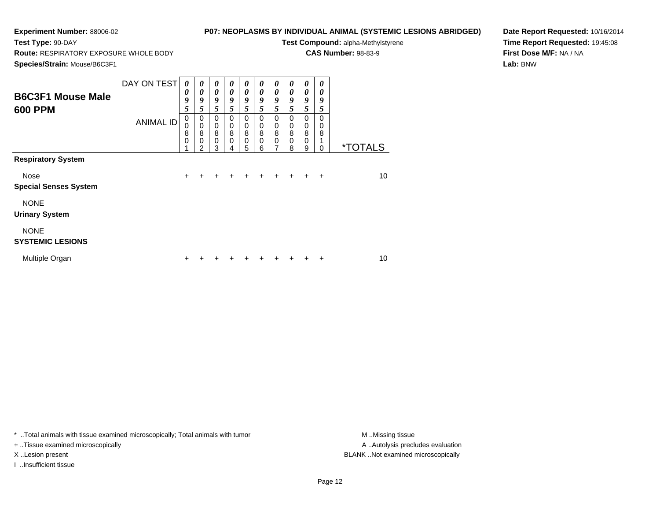**Test Type:** 90-DAY

# **P07: NEOPLASMS BY INDIVIDUAL ANIMAL (SYSTEMIC LESIONS ABRIDGED)**

**Test Compound:** alpha-Methylstyrene

**CAS Number:** 98-83-9

**Species/Strain:** Mouse/B6C3F1

**Route:** RESPIRATORY EXPOSURE WHOLE BODY

**Date Report Requested:** 10/16/2014**Time Report Requested:** 19:45:08**First Dose M/F:** NA / NA**Lab:** BNW

| <b>B6C3F1 Mouse Male</b><br><b>600 PPM</b>  | DAY ON TEST<br><b>ANIMAL ID</b> | $\boldsymbol{\theta}$<br>0<br>9<br>5<br>$\pmb{0}$<br>0 | 0<br>$\boldsymbol{\theta}$<br>9<br>5<br>$\mathbf 0$<br>$\mathbf 0$ | 0<br>$\boldsymbol{\theta}$<br>9<br>5<br>$\mathbf 0$<br>$\mathbf 0$ | $\boldsymbol{\theta}$<br>$\boldsymbol{\theta}$<br>9<br>5<br>$\mathbf 0$<br>$\mathbf 0$ | 0<br>0<br>9<br>5<br>$\Omega$<br>0 | 0<br>0<br>9<br>5<br>$\Omega$<br>0 | 0<br>0<br>9<br>5<br>0<br>$\boldsymbol{0}$ | 0<br>0<br>9<br>5<br>0<br>$\mathbf 0$ | 0<br>0<br>9<br>5<br>$\mathbf 0$<br>$\mathbf 0$ | 0<br>0<br>9<br>5<br>$\Omega$<br>0 |                       |
|---------------------------------------------|---------------------------------|--------------------------------------------------------|--------------------------------------------------------------------|--------------------------------------------------------------------|----------------------------------------------------------------------------------------|-----------------------------------|-----------------------------------|-------------------------------------------|--------------------------------------|------------------------------------------------|-----------------------------------|-----------------------|
|                                             |                                 | 8<br>$\mathbf 0$                                       | 8<br>$\mathbf 0$<br>2                                              | 8<br>$\mathbf 0$<br>3                                              | 8<br>$\mathbf 0$<br>4                                                                  | 8<br>$\mathbf 0$<br>5             | 8<br>$\Omega$<br>6                | 8<br>0<br>7                               | 8<br>0<br>8                          | 8<br>0<br>9                                    | 8<br>1<br>0                       | <i><b>*TOTALS</b></i> |
| <b>Respiratory System</b>                   |                                 |                                                        |                                                                    |                                                                    |                                                                                        |                                   |                                   |                                           |                                      |                                                |                                   |                       |
| <b>Nose</b><br><b>Special Senses System</b> |                                 | $\ddot{}$                                              |                                                                    |                                                                    |                                                                                        | +                                 | $\div$                            |                                           | $\ddot{}$                            | $\div$                                         | $\ddot{}$                         | 10                    |
| <b>NONE</b><br><b>Urinary System</b>        |                                 |                                                        |                                                                    |                                                                    |                                                                                        |                                   |                                   |                                           |                                      |                                                |                                   |                       |
| <b>NONE</b><br><b>SYSTEMIC LESIONS</b>      |                                 |                                                        |                                                                    |                                                                    |                                                                                        |                                   |                                   |                                           |                                      |                                                |                                   |                       |
| Multiple Organ                              |                                 | +                                                      |                                                                    |                                                                    |                                                                                        |                                   |                                   |                                           |                                      |                                                | ÷                                 | 10                    |

\* ..Total animals with tissue examined microscopically; Total animals with tumor **M** . Missing tissue M ..Missing tissue

+ ..Tissue examined microscopically

I ..Insufficient tissue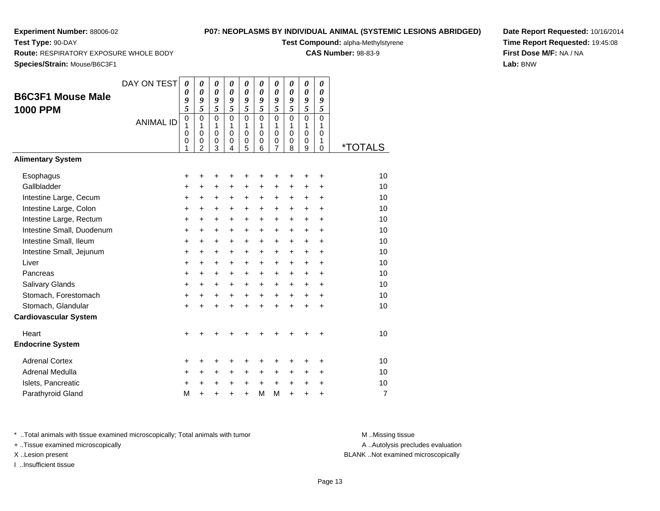**Test Type:** 90-DAY

## **P07: NEOPLASMS BY INDIVIDUAL ANIMAL (SYSTEMIC LESIONS ABRIDGED)**

**Test Compound:** alpha-Methylstyrene

**CAS Number:** 98-83-9

**Species/Strain:** Mouse/B6C3F1

**Route:** RESPIRATORY EXPOSURE WHOLE BODY

**Date Report Requested:** 10/16/2014**Time Report Requested:** 19:45:08**First Dose M/F:** NA / NA**Lab:** BNW

| <b>B6C3F1 Mouse Male</b>     | DAY ON TEST      | $\boldsymbol{\theta}$<br>$\boldsymbol{\theta}$<br>9 | $\pmb{\theta}$<br>$\boldsymbol{\theta}$<br>9              | $\pmb{\theta}$<br>$\boldsymbol{\theta}$<br>9        | $\boldsymbol{\theta}$<br>$\boldsymbol{\theta}$<br>9 | $\pmb{\theta}$<br>$\boldsymbol{\theta}$<br>9 | $\boldsymbol{\theta}$<br>$\boldsymbol{\theta}$<br>9 | $\boldsymbol{\theta}$<br>$\boldsymbol{\theta}$<br>9               | $\boldsymbol{\theta}$<br>$\boldsymbol{\theta}$<br>9 | $\boldsymbol{\theta}$<br>$\boldsymbol{\theta}$<br>9    | $\boldsymbol{\theta}$<br>$\boldsymbol{\theta}$<br>9 |                       |
|------------------------------|------------------|-----------------------------------------------------|-----------------------------------------------------------|-----------------------------------------------------|-----------------------------------------------------|----------------------------------------------|-----------------------------------------------------|-------------------------------------------------------------------|-----------------------------------------------------|--------------------------------------------------------|-----------------------------------------------------|-----------------------|
| <b>1000 PPM</b>              | <b>ANIMAL ID</b> | 5<br>$\pmb{0}$<br>1<br>0<br>0<br>1                  | 5<br>$\mathbf 0$<br>1<br>$\pmb{0}$<br>0<br>$\overline{2}$ | 5<br>$\Omega$<br>1<br>$\pmb{0}$<br>$\mathbf 0$<br>3 | 5<br>$\Omega$<br>1<br>0<br>0<br>4                   | 5<br>$\overline{0}$<br>1<br>0<br>0           | 5<br>$\overline{0}$<br>1<br>$\mathbf 0$<br>0<br>6   | 5<br>$\mathbf{0}$<br>1<br>0<br>$\boldsymbol{0}$<br>$\overline{7}$ | 5<br>$\Omega$<br>1<br>$\mathbf 0$<br>0<br>8         | 5<br>$\mathbf 0$<br>1<br>$\pmb{0}$<br>$\mathbf 0$<br>9 | 5<br>$\Omega$<br>1<br>$\mathbf 0$<br>1              | <i><b>*TOTALS</b></i> |
| <b>Alimentary System</b>     |                  |                                                     |                                                           |                                                     |                                                     | 5                                            |                                                     |                                                                   |                                                     |                                                        | $\mathbf 0$                                         |                       |
| Esophagus                    |                  | +                                                   | +                                                         | +                                                   | ٠                                                   | +                                            | +                                                   | +                                                                 | +                                                   | +                                                      | $\ddot{}$                                           | 10                    |
| Gallbladder                  |                  | $\ddot{}$                                           | +                                                         | +                                                   | $\ddot{}$                                           | $\ddot{}$                                    | $\ddot{}$                                           | +                                                                 | $\ddot{}$                                           | $\ddot{}$                                              | $\ddot{}$                                           | 10                    |
| Intestine Large, Cecum       |                  | $\ddot{}$                                           | +                                                         | $\ddot{}$                                           | $\ddot{}$                                           | $\pm$                                        | $\ddot{}$                                           | $\ddot{}$                                                         | $\ddot{}$                                           | $\ddot{}$                                              | $\ddot{}$                                           | 10                    |
| Intestine Large, Colon       |                  | $\ddot{}$                                           | +                                                         | +                                                   | $\ddot{}$                                           | $\ddot{}$                                    | $\ddot{}$                                           | +                                                                 | $\ddot{}$                                           | $\ddot{}$                                              | $\ddot{}$                                           | 10                    |
| Intestine Large, Rectum      |                  | $\ddot{}$                                           | $\ddot{}$                                                 | +                                                   | $\ddot{}$                                           | $\ddot{}$                                    | $\ddot{}$                                           | $\ddot{}$                                                         | $\ddot{}$                                           | $\ddot{}$                                              | $\ddot{}$                                           | 10                    |
| Intestine Small, Duodenum    |                  | +                                                   | +                                                         | $\ddot{}$                                           | $\ddot{}$                                           | $\ddot{}$                                    | +                                                   | $\ddot{}$                                                         | $\ddot{}$                                           | $\ddot{}$                                              | $\ddot{}$                                           | 10                    |
| Intestine Small, Ileum       |                  | $\ddot{}$                                           | $\ddot{}$                                                 | $\ddot{}$                                           | $\ddot{}$                                           | $\ddot{}$                                    | $\ddot{}$                                           | $\ddot{}$                                                         | $\ddot{}$                                           | $\ddot{}$                                              | $\ddot{}$                                           | 10                    |
| Intestine Small, Jejunum     |                  | +                                                   | +                                                         | +                                                   | $\ddot{}$                                           | $\ddot{}$                                    | +                                                   | $\ddot{}$                                                         | $\ddot{}$                                           | +                                                      | +                                                   | 10                    |
| Liver                        |                  | $\ddot{}$                                           | $\ddot{}$                                                 | $\ddot{}$                                           | $\ddot{}$                                           | $\ddot{}$                                    | $\ddot{}$                                           | $\ddot{}$                                                         | $\ddot{}$                                           | $\ddot{}$                                              | $\ddot{}$                                           | 10                    |
| Pancreas                     |                  | $\ddot{}$                                           | $\ddot{}$                                                 | $\ddot{}$                                           | $\ddot{}$                                           | $\ddot{}$                                    | +                                                   | $\ddot{}$                                                         | $\ddot{}$                                           | $\ddot{}$                                              | $\ddot{}$                                           | 10                    |
| Salivary Glands              |                  | +                                                   | $\ddot{}$                                                 | +                                                   | $\ddot{}$                                           | $\ddot{}$                                    | $\ddot{}$                                           | $\ddot{}$                                                         | $\ddot{}$                                           | $\ddot{}$                                              | +                                                   | 10                    |
| Stomach, Forestomach         |                  | +                                                   | $\ddot{}$                                                 | $\ddot{}$                                           | $\ddot{}$                                           | $\ddot{}$                                    | $\ddot{}$                                           | $\ddot{}$                                                         | $\ddot{}$                                           | $\ddot{}$                                              | $\ddot{}$                                           | 10                    |
| Stomach, Glandular           |                  | $\ddot{}$                                           | $\ddot{}$                                                 | $\ddot{}$                                           | $\ddot{}$                                           | $+$                                          | $\ddot{}$                                           | $\ddot{}$                                                         | $\ddot{}$                                           | $\ddot{}$                                              | $\ddot{}$                                           | 10                    |
| <b>Cardiovascular System</b> |                  |                                                     |                                                           |                                                     |                                                     |                                              |                                                     |                                                                   |                                                     |                                                        |                                                     |                       |
| Heart                        |                  | $\ddot{}$                                           |                                                           | +                                                   |                                                     | +                                            |                                                     |                                                                   |                                                     | +                                                      | +                                                   | 10                    |
| <b>Endocrine System</b>      |                  |                                                     |                                                           |                                                     |                                                     |                                              |                                                     |                                                                   |                                                     |                                                        |                                                     |                       |
| <b>Adrenal Cortex</b>        |                  | +                                                   | +                                                         | +                                                   | ٠                                                   | +                                            | +                                                   |                                                                   |                                                     |                                                        | +                                                   | 10                    |
| Adrenal Medulla              |                  | +                                                   | $\ddot{}$                                                 | +                                                   | $\ddot{}$                                           | $\ddot{}$                                    | +                                                   | +                                                                 | $\ddot{}$                                           | $\ddot{}$                                              | $\ddot{}$                                           | 10                    |
| Islets, Pancreatic           |                  | +                                                   | $\ddot{}$                                                 | $\ddot{}$                                           | $\ddot{}$                                           | $\ddot{}$                                    | $\ddot{}$                                           | $\ddot{}$                                                         | $\ddot{}$                                           | $\ddot{}$                                              | $\ddot{}$                                           | 10                    |
| Parathyroid Gland            |                  | M                                                   | $\ddot{}$                                                 | $\ddot{}$                                           | $\ddot{}$                                           | $\ddot{}$                                    | M                                                   | M                                                                 | $\ddot{}$                                           | $\ddot{}$                                              | $\ddot{}$                                           | 7                     |

\* ..Total animals with tissue examined microscopically; Total animals with tumor **M** . Missing tissue M ..Missing tissue

+ ..Tissue examined microscopically

I ..Insufficient tissue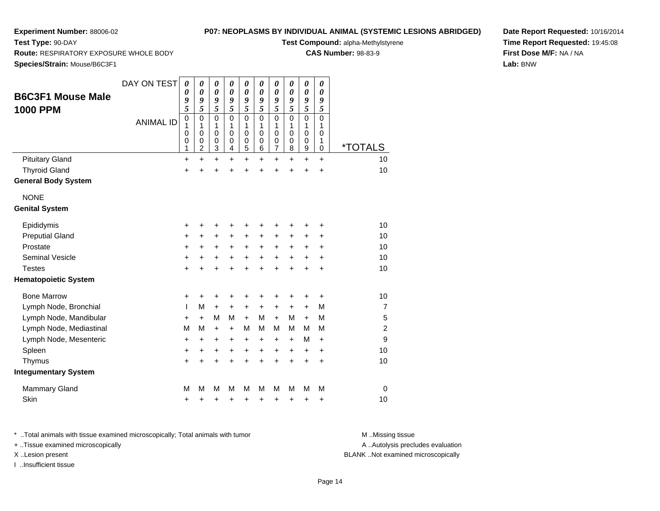**Test Type:** 90-DAY

# **P07: NEOPLASMS BY INDIVIDUAL ANIMAL (SYSTEMIC LESIONS ABRIDGED)**

**Test Compound:** alpha-Methylstyrene

**CAS Number:** 98-83-9

**Date Report Requested:** 10/16/2014**Time Report Requested:** 19:45:08**First Dose M/F:** NA / NA**Lab:** BNW

**Route:** RESPIRATORY EXPOSURE WHOLE BODY

**Species/Strain:** Mouse/B6C3F1

| <b>B6C3F1 Mouse Male</b><br><b>1000 PPM</b><br><b>Pituitary Gland</b> | DAY ON TEST<br><b>ANIMAL ID</b> | 0<br>0<br>9<br>5<br>$\mathbf 0$<br>1<br>$\mathbf 0$<br>0<br>1<br>$\ddot{}$ | $\boldsymbol{\theta}$<br>$\boldsymbol{\theta}$<br>9<br>5<br>$\mathbf 0$<br>1<br>$\pmb{0}$<br>$\mathbf 0$<br>2<br>$\ddot{}$ | $\boldsymbol{\theta}$<br>$\boldsymbol{\theta}$<br>9<br>5<br>$\Omega$<br>1<br>$\mathbf 0$<br>$\mathbf 0$<br>3<br>$\ddot{}$ | 0<br>$\boldsymbol{\theta}$<br>9<br>5<br>$\overline{0}$<br>1<br>$\mathbf 0$<br>$\mathbf 0$<br>$\overline{4}$<br>$\ddot{}$ | 0<br>0<br>9<br>5<br>$\mathbf 0$<br>1<br>0<br>0<br>5<br>$\ddot{}$ | 0<br>0<br>9<br>5<br>$\Omega$<br>1<br>$\mathbf 0$<br>0<br>6<br>$\ddot{}$ | $\pmb{\theta}$<br>$\boldsymbol{\theta}$<br>9<br>5<br>$\mathbf 0$<br>1<br>$\pmb{0}$<br>$\pmb{0}$<br>$\overline{7}$<br>$\ddot{}$ | $\boldsymbol{\theta}$<br>$\boldsymbol{\theta}$<br>9<br>5<br>$\Omega$<br>1<br>0<br>0<br>8<br>÷ | $\pmb{\theta}$<br>$\boldsymbol{\theta}$<br>9<br>5<br>$\overline{0}$<br>1<br>0<br>$\pmb{0}$<br>9<br>$\ddot{}$ | 0<br>0<br>9<br>5<br>$\mathbf 0$<br>1<br>0<br>1<br>0<br>$\ddot{}$ | <i><b>*TOTALS</b></i><br>10 |
|-----------------------------------------------------------------------|---------------------------------|----------------------------------------------------------------------------|----------------------------------------------------------------------------------------------------------------------------|---------------------------------------------------------------------------------------------------------------------------|--------------------------------------------------------------------------------------------------------------------------|------------------------------------------------------------------|-------------------------------------------------------------------------|--------------------------------------------------------------------------------------------------------------------------------|-----------------------------------------------------------------------------------------------|--------------------------------------------------------------------------------------------------------------|------------------------------------------------------------------|-----------------------------|
| <b>Thyroid Gland</b>                                                  |                                 | +                                                                          |                                                                                                                            | +                                                                                                                         |                                                                                                                          | +                                                                | $\ddot{}$                                                               | $\ddot{}$                                                                                                                      | $\ddot{}$                                                                                     | $\ddot{}$                                                                                                    | $\ddot{}$                                                        | 10                          |
| <b>General Body System</b>                                            |                                 |                                                                            |                                                                                                                            |                                                                                                                           |                                                                                                                          |                                                                  |                                                                         |                                                                                                                                |                                                                                               |                                                                                                              |                                                                  |                             |
| <b>NONE</b><br><b>Genital System</b>                                  |                                 |                                                                            |                                                                                                                            |                                                                                                                           |                                                                                                                          |                                                                  |                                                                         |                                                                                                                                |                                                                                               |                                                                                                              |                                                                  |                             |
| Epididymis                                                            |                                 | +                                                                          | +                                                                                                                          | +                                                                                                                         | +                                                                                                                        | +                                                                | +                                                                       | ٠                                                                                                                              | +                                                                                             | ٠                                                                                                            | +                                                                | 10                          |
| <b>Preputial Gland</b>                                                |                                 | +                                                                          | +                                                                                                                          | $\ddot{}$                                                                                                                 | $\ddot{}$                                                                                                                | $\ddot{}$                                                        | $\ddot{}$                                                               | +                                                                                                                              | +                                                                                             | +                                                                                                            | +                                                                | 10                          |
| Prostate                                                              |                                 | +                                                                          | $\ddot{}$                                                                                                                  | $\ddot{}$                                                                                                                 | +                                                                                                                        | $\ddot{}$                                                        | $\ddot{}$                                                               | $\ddot{}$                                                                                                                      | $\ddot{}$                                                                                     | $\pm$                                                                                                        | +                                                                | 10                          |
| Seminal Vesicle                                                       |                                 | +                                                                          | +                                                                                                                          | +                                                                                                                         | +                                                                                                                        | +                                                                | +                                                                       | $\ddot{}$                                                                                                                      | $\ddot{}$                                                                                     | $\ddot{}$                                                                                                    | +                                                                | 10                          |
| <b>Testes</b>                                                         |                                 | +                                                                          |                                                                                                                            |                                                                                                                           |                                                                                                                          | $\ddot{}$                                                        | $\ddot{}$                                                               | $\ddot{}$                                                                                                                      | $\ddot{}$                                                                                     | $\ddot{}$                                                                                                    | $\ddot{}$                                                        | 10                          |
| <b>Hematopoietic System</b>                                           |                                 |                                                                            |                                                                                                                            |                                                                                                                           |                                                                                                                          |                                                                  |                                                                         |                                                                                                                                |                                                                                               |                                                                                                              |                                                                  |                             |
| <b>Bone Marrow</b>                                                    |                                 | +                                                                          | +                                                                                                                          | +                                                                                                                         | +                                                                                                                        | +                                                                | +                                                                       | +                                                                                                                              | +                                                                                             | +                                                                                                            | +                                                                | 10                          |
| Lymph Node, Bronchial                                                 |                                 | L                                                                          | M                                                                                                                          | $\ddot{}$                                                                                                                 | $\ddot{}$                                                                                                                | +                                                                | +                                                                       | +                                                                                                                              | +                                                                                             | $\ddot{}$                                                                                                    | M                                                                | $\overline{7}$              |
| Lymph Node, Mandibular                                                |                                 | +                                                                          | $\ddot{}$                                                                                                                  | М                                                                                                                         | M                                                                                                                        | $\ddot{}$                                                        | м                                                                       | $\ddot{}$                                                                                                                      | м                                                                                             | $\ddot{}$                                                                                                    | M                                                                | 5                           |
| Lymph Node, Mediastinal                                               |                                 | M                                                                          | M                                                                                                                          | $\ddot{}$                                                                                                                 | $+$                                                                                                                      | M                                                                | м                                                                       | M                                                                                                                              | М                                                                                             | M                                                                                                            | М                                                                | $\overline{c}$              |
| Lymph Node, Mesenteric                                                |                                 | $\pmb{+}$                                                                  | $\ddot{}$                                                                                                                  | $\ddot{}$                                                                                                                 | +                                                                                                                        | +                                                                | +                                                                       | +                                                                                                                              | +                                                                                             | M                                                                                                            | $\ddot{}$                                                        | 9                           |
| Spleen                                                                |                                 | +                                                                          | +                                                                                                                          | $\ddot{}$                                                                                                                 | +                                                                                                                        | $\ddot{}$                                                        | +                                                                       | +                                                                                                                              | +                                                                                             | +                                                                                                            | +                                                                | 10                          |
| Thymus                                                                |                                 | $\ddot{}$                                                                  | $\ddot{}$                                                                                                                  | $\ddot{}$                                                                                                                 | ÷                                                                                                                        | $\ddot{}$                                                        | $\ddot{}$                                                               | $\ddot{}$                                                                                                                      | $\ddot{}$                                                                                     | $\ddot{}$                                                                                                    | $\ddot{}$                                                        | 10                          |
| <b>Integumentary System</b>                                           |                                 |                                                                            |                                                                                                                            |                                                                                                                           |                                                                                                                          |                                                                  |                                                                         |                                                                                                                                |                                                                                               |                                                                                                              |                                                                  |                             |
| <b>Mammary Gland</b>                                                  |                                 | M                                                                          | M                                                                                                                          | М                                                                                                                         | M                                                                                                                        | М                                                                | М                                                                       | М                                                                                                                              | M                                                                                             | М                                                                                                            | M                                                                | $\Omega$                    |
| Skin                                                                  |                                 | +                                                                          | +                                                                                                                          | +                                                                                                                         | +                                                                                                                        | +                                                                | +                                                                       | +                                                                                                                              | +                                                                                             | +                                                                                                            | +                                                                | 10                          |

\* ..Total animals with tissue examined microscopically; Total animals with tumor **M** . Missing tissue M ..Missing tissue

+ ..Tissue examined microscopically

I ..Insufficient tissue

A ..Autolysis precludes evaluation

X ..Lesion present BLANK ..Not examined microscopically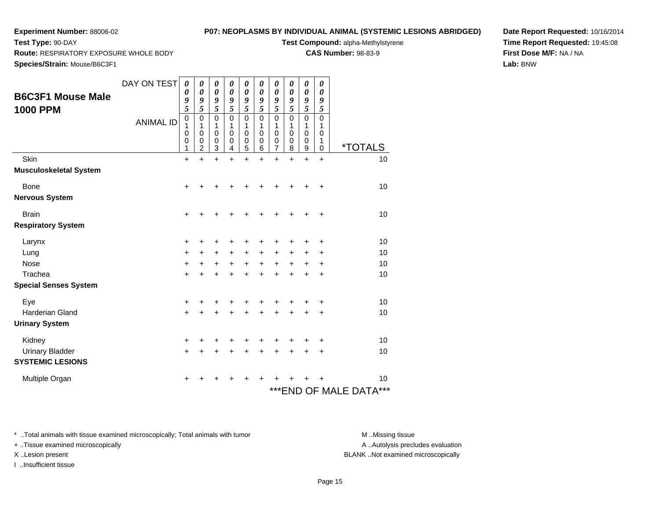**Test Type:** 90-DAY

# **P07: NEOPLASMS BY INDIVIDUAL ANIMAL (SYSTEMIC LESIONS ABRIDGED)**

**Test Compound:** alpha-Methylstyrene

**CAS Number:** 98-83-9

**Date Report Requested:** 10/16/2014**Time Report Requested:** 19:45:08**First Dose M/F:** NA / NA**Lab:** BNW

**Route:** RESPIRATORY EXPOSURE WHOLE BODY

**Species/Strain:** Mouse/B6C3F1

| <b>B6C3F1 Mouse Male</b><br><b>1000 PPM</b><br>Skin | DAY ON TEST<br><b>ANIMAL ID</b> | 0<br>0<br>9<br>5<br>$\pmb{0}$<br>1<br>0<br>$\mathbf 0$<br>1<br>$\ddot{}$ | 0<br>0<br>9<br>5<br>0<br>1<br>0<br>0<br>$\overline{2}$<br>$\ddot{}$ | 0<br>0<br>9<br>5<br>0<br>1<br>0<br>0<br>3<br>$\ddot{}$ | 0<br>0<br>9<br>5<br>$\mathbf 0$<br>1<br>$\mathbf 0$<br>0<br>4<br>$\ddot{}$ | 0<br>$\boldsymbol{\theta}$<br>9<br>5<br>$\mathbf 0$<br>1<br>$\mathbf 0$<br>$\mathbf 0$<br>5<br>$\ddot{}$ | 0<br>0<br>9<br>5<br>$\mathbf 0$<br>1<br>$\mathbf 0$<br>$\mathbf 0$<br>6<br>$\ddot{}$ | 0<br>0<br>9<br>5<br>$\mathbf 0$<br>1<br>$\mathbf 0$<br>$\mathbf 0$<br>7<br>$\ddot{}$ | 0<br>0<br>9<br>5<br>$\mathbf 0$<br>1<br>$\mathbf 0$<br>$\mathbf 0$<br>8<br>$\ddot{}$ | 0<br>$\boldsymbol{\theta}$<br>9<br>5<br>$\mathbf 0$<br>1<br>0<br>$\mathbf 0$<br>9<br>$\ddot{}$ | 0<br>0<br>9<br>5<br>$\mathbf 0$<br>1<br>$\mathbf 0$<br>1<br>$\mathbf 0$<br>$\ddot{}$ | <i><b>*TOTALS</b></i><br>10       |
|-----------------------------------------------------|---------------------------------|--------------------------------------------------------------------------|---------------------------------------------------------------------|--------------------------------------------------------|----------------------------------------------------------------------------|----------------------------------------------------------------------------------------------------------|--------------------------------------------------------------------------------------|--------------------------------------------------------------------------------------|--------------------------------------------------------------------------------------|------------------------------------------------------------------------------------------------|--------------------------------------------------------------------------------------|-----------------------------------|
| <b>Musculoskeletal System</b>                       |                                 |                                                                          |                                                                     |                                                        |                                                                            |                                                                                                          |                                                                                      |                                                                                      |                                                                                      |                                                                                                |                                                                                      |                                   |
| <b>Bone</b><br><b>Nervous System</b>                |                                 | +                                                                        | +                                                                   |                                                        |                                                                            |                                                                                                          |                                                                                      |                                                                                      | +                                                                                    | +                                                                                              | +                                                                                    | 10                                |
| <b>Brain</b>                                        |                                 | $\ddot{}$                                                                |                                                                     |                                                        |                                                                            |                                                                                                          |                                                                                      |                                                                                      |                                                                                      |                                                                                                | +                                                                                    | 10                                |
| <b>Respiratory System</b>                           |                                 |                                                                          |                                                                     |                                                        |                                                                            |                                                                                                          |                                                                                      |                                                                                      |                                                                                      |                                                                                                |                                                                                      |                                   |
| Larynx                                              |                                 | +                                                                        | +                                                                   | +                                                      |                                                                            |                                                                                                          | +                                                                                    | +                                                                                    | +                                                                                    | +                                                                                              | +                                                                                    | 10                                |
| Lung                                                |                                 | $\ddot{}$                                                                | +                                                                   | $\ddot{}$                                              | $\ddot{}$                                                                  | $\ddot{}$                                                                                                | $\ddot{}$                                                                            | +                                                                                    | +                                                                                    | +                                                                                              | $\ddot{}$                                                                            | 10                                |
| <b>Nose</b>                                         |                                 | $\ddot{}$                                                                | +                                                                   | $\ddot{}$                                              | $\ddot{}$                                                                  | $+$                                                                                                      | $\ddot{}$                                                                            | $\ddot{}$                                                                            | $\ddot{}$                                                                            | +                                                                                              | +                                                                                    | 10                                |
| Trachea                                             |                                 | $\ddot{}$                                                                | +                                                                   | $\ddot{}$                                              | +                                                                          | $\ddot{}$                                                                                                | $\ddot{}$                                                                            | $\ddot{}$                                                                            | +                                                                                    | +                                                                                              | ÷                                                                                    | 10                                |
| <b>Special Senses System</b>                        |                                 |                                                                          |                                                                     |                                                        |                                                                            |                                                                                                          |                                                                                      |                                                                                      |                                                                                      |                                                                                                |                                                                                      |                                   |
| Eye                                                 |                                 | +                                                                        | ٠                                                                   | +                                                      |                                                                            |                                                                                                          |                                                                                      | +                                                                                    | +                                                                                    | +                                                                                              | +                                                                                    | 10                                |
| <b>Harderian Gland</b>                              |                                 | $\ddot{}$                                                                |                                                                     | +                                                      |                                                                            |                                                                                                          | +                                                                                    | +                                                                                    | $\ddot{}$                                                                            | $\ddot{}$                                                                                      | $\ddot{}$                                                                            | 10                                |
| <b>Urinary System</b>                               |                                 |                                                                          |                                                                     |                                                        |                                                                            |                                                                                                          |                                                                                      |                                                                                      |                                                                                      |                                                                                                |                                                                                      |                                   |
| Kidney                                              |                                 | +                                                                        |                                                                     |                                                        |                                                                            |                                                                                                          |                                                                                      |                                                                                      | ٠                                                                                    | ٠                                                                                              | +                                                                                    | 10                                |
| <b>Urinary Bladder</b>                              |                                 | +                                                                        |                                                                     | +                                                      |                                                                            |                                                                                                          |                                                                                      | +                                                                                    | +                                                                                    | +                                                                                              | +                                                                                    | 10                                |
| <b>SYSTEMIC LESIONS</b>                             |                                 |                                                                          |                                                                     |                                                        |                                                                            |                                                                                                          |                                                                                      |                                                                                      |                                                                                      |                                                                                                |                                                                                      |                                   |
| Multiple Organ                                      |                                 | ٠                                                                        |                                                                     |                                                        |                                                                            |                                                                                                          |                                                                                      |                                                                                      |                                                                                      |                                                                                                |                                                                                      | 10<br>*** END OF MALE DATA<br>*** |

\* ..Total animals with tissue examined microscopically; Total animals with tumor **M** . Missing tissue M ..Missing tissue

+ ..Tissue examined microscopically

I ..Insufficient tissue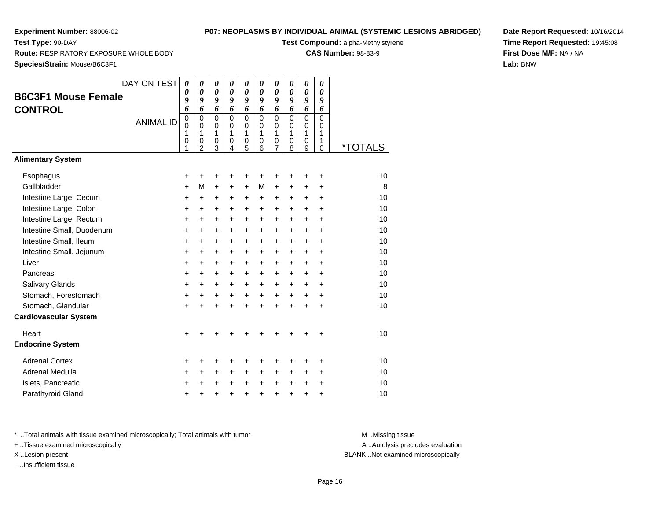**Test Type:** 90-DAY

## **P07: NEOPLASMS BY INDIVIDUAL ANIMAL (SYSTEMIC LESIONS ABRIDGED)**

**Test Compound:** alpha-Methylstyrene

**CAS Number:** 98-83-9

**Species/Strain:** Mouse/B6C3F1

**Route:** RESPIRATORY EXPOSURE WHOLE BODY

|                              | DAY ON TEST      | 0                | $\boldsymbol{\theta}$      | 0                          | 0                          | $\boldsymbol{\theta}$       | 0                | 0                          | 0         | 0             | 0                          |                       |
|------------------------------|------------------|------------------|----------------------------|----------------------------|----------------------------|-----------------------------|------------------|----------------------------|-----------|---------------|----------------------------|-----------------------|
| <b>B6C3F1 Mouse Female</b>   |                  | 0<br>9           | $\boldsymbol{\theta}$<br>9 | $\boldsymbol{\theta}$<br>9 | $\boldsymbol{\theta}$<br>9 | $\boldsymbol{\theta}$<br>9  | 0<br>9           | 0<br>9                     | 0<br>9    | 0<br>9        | 0<br>9                     |                       |
| <b>CONTROL</b>               |                  | 6                | 6                          | 6                          | 6                          | 6                           | 6                | 6                          | 6         | 6             | 6                          |                       |
|                              | <b>ANIMAL ID</b> | 0<br>$\mathbf 0$ | $\mathbf 0$<br>$\mathbf 0$ | 0<br>$\mathbf 0$           | $\mathbf 0$<br>$\mathbf 0$ | $\mathbf 0$<br>0            | 0<br>$\mathbf 0$ | $\mathbf 0$<br>$\mathbf 0$ | 0<br>0    | 0<br>$\Omega$ | $\mathbf 0$<br>$\mathbf 0$ |                       |
|                              |                  | 1<br>0           | $\mathbf{1}$<br>0          | 1<br>0                     | 1<br>0                     | $\mathbf{1}$<br>$\mathbf 0$ | 1<br>0           | $\mathbf{1}$<br>0          | 1<br>0    | 1<br>0        | 1<br>1                     |                       |
|                              |                  | 1                | $\overline{2}$             | 3                          | 4                          | $\overline{5}$              | 6                | 7                          | 8         | 9             | $\mathbf 0$                | <i><b>*TOTALS</b></i> |
| <b>Alimentary System</b>     |                  |                  |                            |                            |                            |                             |                  |                            |           |               |                            |                       |
| Esophagus                    |                  | +                | +                          | +                          | +                          | +                           | +                | +                          | +         | +             | +                          | 10                    |
| Gallbladder                  |                  | $\ddot{}$        | M                          | $\ddot{}$                  | $\ddot{}$                  | $\ddot{}$                   | м                | $\ddot{}$                  | $\ddot{}$ | $\ddot{}$     | $\ddot{}$                  | 8                     |
| Intestine Large, Cecum       |                  | +                | $\ddot{}$                  | +                          | +                          | +                           | $\ddot{}$        | +                          | $\ddot{}$ | +             | $\ddot{}$                  | 10                    |
| Intestine Large, Colon       |                  | $\ddot{}$        | $\ddot{}$                  | +                          | +                          | +                           | $\ddot{}$        | $\ddot{}$                  | +         | $\ddot{}$     | $\ddot{}$                  | 10                    |
| Intestine Large, Rectum      |                  | $\ddot{}$        | $\ddot{}$                  | $+$                        | $\ddot{}$                  | $\ddot{}$                   | $+$              | $\ddot{}$                  | $+$       | $\ddot{}$     | $+$                        | 10                    |
| Intestine Small, Duodenum    |                  | $\ddot{}$        | $\ddot{}$                  | $\ddot{}$                  | +                          | $\ddot{}$                   | $\ddot{}$        | $\ddot{}$                  | $+$       | $\ddot{}$     | $\ddot{}$                  | 10                    |
| Intestine Small, Ileum       |                  | $\ddot{}$        | $\ddot{}$                  | $\ddot{}$                  | $\ddot{}$                  | $\ddot{}$                   | $\ddot{}$        | $\ddot{}$                  | $\ddot{}$ | $\ddot{}$     | $\ddot{}$                  | 10                    |
| Intestine Small, Jejunum     |                  | $\ddot{}$        | +                          | $\ddot{}$                  | $\ddot{}$                  | $\ddot{}$                   | $\ddot{}$        | +                          | $\ddot{}$ | $\ddot{}$     | $\ddot{}$                  | 10                    |
| Liver                        |                  | $\ddot{}$        | +                          | $\ddot{}$                  | +                          | $\ddot{}$                   | $\ddot{}$        | $\ddot{}$                  | $\ddot{}$ | $\ddot{}$     | $\ddot{}$                  | 10                    |
| Pancreas                     |                  | $\ddot{}$        | $\ddot{}$                  | $\ddot{}$                  | $\ddot{}$                  | $\ddot{}$                   | $\ddot{}$        | $\ddot{}$                  | $\ddot{}$ | $\ddot{}$     | $\ddot{}$                  | 10                    |
| Salivary Glands              |                  | $\ddot{}$        | $\ddot{}$                  | $\ddot{}$                  | $\ddot{}$                  | $\ddot{}$                   | $\ddot{}$        | $\ddot{}$                  | $+$       | $\ddot{}$     | $+$                        | 10                    |
| Stomach, Forestomach         |                  | +                | $\ddot{}$                  | +                          | +                          | +                           | +                | $\ddot{}$                  | $\ddot{}$ | +             | +                          | 10                    |
| Stomach, Glandular           |                  | $\ddot{}$        | $\ddot{}$                  | $\ddot{}$                  | $\ddot{}$                  | $\ddot{}$                   | $\ddot{}$        | $\ddot{}$                  | $\ddot{}$ | $\ddot{}$     | $\ddot{}$                  | 10                    |
| <b>Cardiovascular System</b> |                  |                  |                            |                            |                            |                             |                  |                            |           |               |                            |                       |
| Heart                        |                  | $\ddot{}$        |                            |                            |                            |                             |                  |                            |           |               |                            | 10                    |
| <b>Endocrine System</b>      |                  |                  |                            |                            |                            |                             |                  |                            |           |               |                            |                       |
| <b>Adrenal Cortex</b>        |                  | +                | +                          | +                          | +                          | +                           | +                | +                          | +         | +             | +                          | 10                    |
| Adrenal Medulla              |                  | +                | +                          | $\ddot{}$                  | +                          | $\ddot{}$                   | +                | +                          | $\ddot{}$ | +             | +                          | 10                    |
| Islets, Pancreatic           |                  | $\ddot{}$        | $\ddot{}$                  | $\ddot{}$                  | +                          | +                           | +                | $\ddot{}$                  | $\ddot{}$ | $\ddot{}$     | $\ddot{}$                  | 10                    |
| Parathyroid Gland            |                  | +                | +                          | +                          | +                          | $\ddot{}$                   | $\ddot{}$        | $\ddot{}$                  | +         | +             | $\ddot{}$                  | 10                    |

**Date Report Requested:** 10/16/2014**Time Report Requested:** 19:45:08**First Dose M/F:** NA / NA**Lab:** BNW

\* ..Total animals with tissue examined microscopically; Total animals with tumor **M** . Missing tissue M ..Missing tissue

+ ..Tissue examined microscopically

I ..Insufficient tissue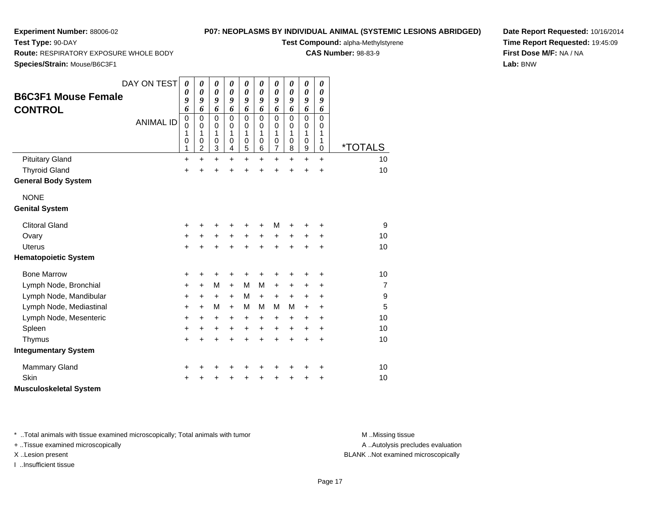**Test Type:** 90-DAY

## **P07: NEOPLASMS BY INDIVIDUAL ANIMAL (SYSTEMIC LESIONS ABRIDGED)**

**Test Compound:** alpha-Methylstyrene

**CAS Number:** 98-83-9

**Date Report Requested:** 10/16/2014**Time Report Requested:** 19:45:09**First Dose M/F:** NA / NA**Lab:** BNW

**Route:** RESPIRATORY EXPOSURE WHOLE BODY

**Species/Strain:** Mouse/B6C3F1

|                               | DAY ON TEST      | 0           | 0                     | 0                     | 0                     | 0                     | 0                           | 0                     | 0         | 0                     | 0           |                       |
|-------------------------------|------------------|-------------|-----------------------|-----------------------|-----------------------|-----------------------|-----------------------------|-----------------------|-----------|-----------------------|-------------|-----------------------|
| <b>B6C3F1 Mouse Female</b>    |                  | 0           | $\boldsymbol{\theta}$ | $\boldsymbol{\theta}$ | $\boldsymbol{\theta}$ | $\boldsymbol{\theta}$ | $\boldsymbol{\theta}$       | 0                     | 0         | $\boldsymbol{\theta}$ | 0           |                       |
|                               |                  | 9<br>6      | 9<br>6                | 9<br>6                | 9<br>6                | 9<br>6                | 9<br>6                      | 9<br>6                | 9<br>6    | 9<br>6                | 9<br>6      |                       |
| <b>CONTROL</b>                |                  | $\mathbf 0$ | $\mathbf 0$           | $\mathbf 0$           | $\mathbf 0$           | $\mathsf 0$           | $\mathbf 0$                 | $\mathbf 0$           | 0         | $\mathbf 0$           | $\mathbf 0$ |                       |
|                               | <b>ANIMAL ID</b> | 0           | $\mathbf 0$           | $\pmb{0}$             | 0                     | 0                     | $\mathbf 0$                 | 0                     | 0         | $\pmb{0}$             | $\mathbf 0$ |                       |
|                               |                  | 1<br>0      | 1<br>0                | 1<br>$\mathbf 0$      | 1<br>0                | 1<br>$\boldsymbol{0}$ | $\mathbf{1}$<br>$\mathbf 0$ | 1<br>$\boldsymbol{0}$ | 1<br>0    | 1<br>$\pmb{0}$        | 1<br>1      |                       |
|                               |                  | 1           | $\overline{c}$        | 3                     | 4                     | 5                     | 6                           | $\overline{7}$        | 8         | $\boldsymbol{9}$      | $\mathbf 0$ | <i><b>*TOTALS</b></i> |
| <b>Pituitary Gland</b>        |                  | $\ddot{}$   | $\ddot{}$             | $\ddot{}$             | $\ddot{}$             | $\ddot{}$             | $\ddot{}$                   | $\ddot{}$             | $\ddot{}$ | $\ddot{}$             | $\ddot{}$   | 10                    |
| <b>Thyroid Gland</b>          |                  | $\ddot{}$   | +                     | $\ddot{}$             |                       | $\ddot{}$             |                             | $\ddot{}$             | $\ddot{}$ | $\ddot{}$             | $\ddot{}$   | 10                    |
| <b>General Body System</b>    |                  |             |                       |                       |                       |                       |                             |                       |           |                       |             |                       |
| <b>NONE</b>                   |                  |             |                       |                       |                       |                       |                             |                       |           |                       |             |                       |
| <b>Genital System</b>         |                  |             |                       |                       |                       |                       |                             |                       |           |                       |             |                       |
| <b>Clitoral Gland</b>         |                  | +           | +                     | +                     |                       | +                     |                             | M                     |           |                       | +           | 9                     |
| Ovary                         |                  | +           | $\ddot{}$             | $\ddot{}$             | $\ddot{}$             | $\ddot{}$             | $\ddot{}$                   | +                     | $\ddot{}$ | $\ddot{}$             | +           | 10                    |
| <b>Uterus</b>                 |                  | +           |                       | +                     | +                     | $\div$                | ÷                           | +                     | $\div$    | +                     | $\ddot{}$   | 10                    |
| <b>Hematopoietic System</b>   |                  |             |                       |                       |                       |                       |                             |                       |           |                       |             |                       |
| <b>Bone Marrow</b>            |                  | +           | +                     | +                     | +                     | +                     | +                           | +                     | +         | +                     | +           | 10                    |
| Lymph Node, Bronchial         |                  | $\ddot{}$   | $\ddot{}$             | M                     | $\ddot{}$             | M                     | M                           | $\ddot{}$             | +         | +                     | $\ddot{}$   | $\overline{7}$        |
| Lymph Node, Mandibular        |                  | +           | +                     | $\ddot{}$             | $\ddot{}$             | M                     | $\ddot{}$                   | $\ddot{}$             | $\ddot{}$ | $\ddot{}$             | +           | 9                     |
| Lymph Node, Mediastinal       |                  | +           | $+$                   | M                     | $\ddot{}$             | M                     | M                           | M                     | м         | $\ddot{}$             | $\ddot{}$   | 5                     |
| Lymph Node, Mesenteric        |                  | +           | +                     | +                     | +                     | +                     | $\pm$                       | $\ddot{}$             | +         | $\ddot{}$             | $\ddot{}$   | 10                    |
| Spleen                        |                  | +           | +                     | $\ddot{}$             | $\ddot{}$             | $\ddot{}$             | $\ddot{}$                   | $\ddot{}$             | $\ddot{}$ | $\ddot{}$             | $\ddot{}$   | 10                    |
| Thymus                        |                  | $\ddot{}$   | $\ddot{}$             | $\ddot{}$             | $\ddot{}$             | $\ddot{}$             | $\ddot{}$                   | $\ddot{}$             | $\ddot{}$ | $\ddot{}$             | $\ddot{}$   | 10                    |
| <b>Integumentary System</b>   |                  |             |                       |                       |                       |                       |                             |                       |           |                       |             |                       |
| <b>Mammary Gland</b>          |                  | +           |                       | +                     |                       |                       |                             | +                     | +         | +                     | +           | 10                    |
| Skin                          |                  | +           |                       | +                     |                       | +                     |                             | +                     | +         | +                     | +           | 10                    |
| <b>Musculoskeletal System</b> |                  |             |                       |                       |                       |                       |                             |                       |           |                       |             |                       |

\* ..Total animals with tissue examined microscopically; Total animals with tumor **M** . Missing tissue M ..Missing tissue

+ ..Tissue examined microscopically

I ..Insufficient tissue

A ..Autolysis precludes evaluation

X ..Lesion present BLANK ..Not examined microscopically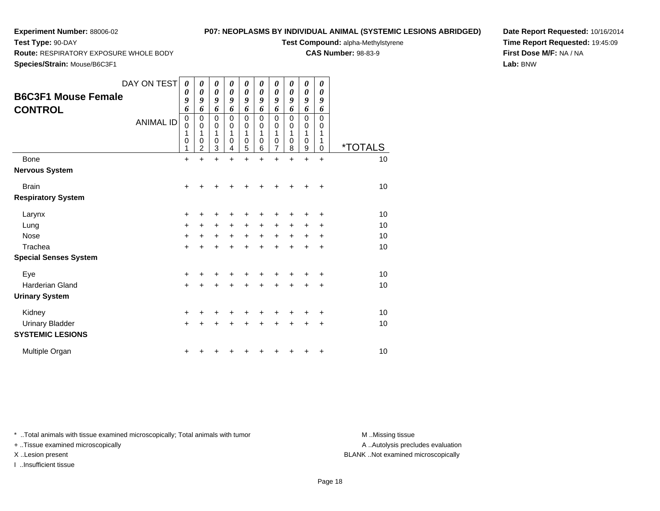**Test Type:** 90-DAY

# **P07: NEOPLASMS BY INDIVIDUAL ANIMAL (SYSTEMIC LESIONS ABRIDGED)**

**Test Compound:** alpha-Methylstyrene

**CAS Number:** 98-83-9

**Date Report Requested:** 10/16/2014**Time Report Requested:** 19:45:09**First Dose M/F:** NA / NA**Lab:** BNW

**Route:** RESPIRATORY EXPOSURE WHOLE BODY

**Species/Strain:** Mouse/B6C3F1

| <b>B6C3F1 Mouse Female</b><br><b>CONTROL</b>      | DAY ON TEST<br><b>ANIMAL ID</b> | $\boldsymbol{\theta}$<br>0<br>9<br>6<br>$\pmb{0}$<br>$\mathbf 0$<br>$\mathbf{1}$<br>$\pmb{0}$<br>1 | 0<br>$\boldsymbol{\theta}$<br>9<br>6<br>$\mathbf 0$<br>$\mathbf 0$<br>1<br>$\mathbf 0$<br>$\overline{2}$ | 0<br>0<br>9<br>6<br>$\mathbf 0$<br>$\mathbf 0$<br>1<br>0<br>3 | 0<br>$\boldsymbol{\theta}$<br>9<br>6<br>$\mathbf 0$<br>0<br>1<br>0<br>4 | 0<br>0<br>9<br>6<br>$\mathbf 0$<br>$\mathbf 0$<br>1<br>$\pmb{0}$<br>5 | 0<br>$\boldsymbol{\theta}$<br>$\boldsymbol{g}$<br>6<br>$\mathbf 0$<br>$\mathbf 0$<br>1<br>0<br>6 | 0<br>0<br>9<br>6<br>$\mathbf 0$<br>$\mathbf 0$<br>1<br>$\mathbf 0$<br>$\overline{7}$ | 0<br>$\boldsymbol{\theta}$<br>$\boldsymbol{q}$<br>6<br>$\mathbf 0$<br>0<br>1<br>$\Omega$<br>8 | 0<br>0<br>9<br>6<br>$\mathbf 0$<br>0<br>1<br>0<br>9 | 0<br>$\boldsymbol{\theta}$<br>9<br>6<br>$\mathbf 0$<br>$\mathbf 0$<br>$\mathbf 1$<br>1<br>$\mathbf 0$ | <i><b>*TOTALS</b></i> |
|---------------------------------------------------|---------------------------------|----------------------------------------------------------------------------------------------------|----------------------------------------------------------------------------------------------------------|---------------------------------------------------------------|-------------------------------------------------------------------------|-----------------------------------------------------------------------|--------------------------------------------------------------------------------------------------|--------------------------------------------------------------------------------------|-----------------------------------------------------------------------------------------------|-----------------------------------------------------|-------------------------------------------------------------------------------------------------------|-----------------------|
| Bone                                              |                                 | $\ddot{}$                                                                                          | $\ddot{}$                                                                                                | $\ddot{}$                                                     | ÷.                                                                      | $\ddot{}$                                                             | $\ddot{}$                                                                                        | $\ddot{}$                                                                            | $\ddot{}$                                                                                     | $\ddot{}$                                           | $+$                                                                                                   | 10                    |
| <b>Nervous System</b>                             |                                 |                                                                                                    |                                                                                                          |                                                               |                                                                         |                                                                       |                                                                                                  |                                                                                      |                                                                                               |                                                     |                                                                                                       |                       |
| <b>Brain</b>                                      |                                 | $\ddot{}$                                                                                          |                                                                                                          |                                                               |                                                                         |                                                                       |                                                                                                  |                                                                                      |                                                                                               |                                                     | $\ddot{}$                                                                                             | 10                    |
| <b>Respiratory System</b>                         |                                 |                                                                                                    |                                                                                                          |                                                               |                                                                         |                                                                       |                                                                                                  |                                                                                      |                                                                                               |                                                     |                                                                                                       |                       |
| Larynx                                            |                                 | +                                                                                                  | +                                                                                                        | ٠                                                             | ٠                                                                       | +                                                                     |                                                                                                  |                                                                                      | ٠                                                                                             | ٠                                                   | ÷                                                                                                     | 10                    |
| Lung                                              |                                 | $\ddot{}$                                                                                          | $\ddot{}$                                                                                                | $\ddot{}$                                                     | $\ddot{}$                                                               | $\ddot{}$                                                             | $\ddot{}$                                                                                        | $+$                                                                                  | $\ddot{}$                                                                                     | $\ddot{}$                                           | $\ddot{}$                                                                                             | 10                    |
| <b>Nose</b>                                       |                                 | $\ddot{}$                                                                                          | +                                                                                                        | $\ddot{}$                                                     | $\ddot{}$                                                               | $\ddot{}$                                                             | $\ddot{}$                                                                                        | $\ddot{}$                                                                            | $\ddot{}$                                                                                     | +                                                   | +                                                                                                     | 10                    |
| Trachea                                           |                                 | $\ddot{}$                                                                                          |                                                                                                          | +                                                             | +                                                                       | $\div$                                                                | ÷                                                                                                | ÷                                                                                    | +                                                                                             | +                                                   | $\ddot{}$                                                                                             | 10                    |
| <b>Special Senses System</b>                      |                                 |                                                                                                    |                                                                                                          |                                                               |                                                                         |                                                                       |                                                                                                  |                                                                                      |                                                                                               |                                                     |                                                                                                       |                       |
| Eye                                               |                                 | $\ddot{}$                                                                                          |                                                                                                          |                                                               |                                                                         |                                                                       |                                                                                                  |                                                                                      |                                                                                               |                                                     | $\ddot{}$                                                                                             | 10                    |
| Harderian Gland                                   |                                 | $\ddot{}$                                                                                          |                                                                                                          |                                                               |                                                                         | +                                                                     |                                                                                                  | +                                                                                    | +                                                                                             | +                                                   | $\ddot{}$                                                                                             | 10                    |
| <b>Urinary System</b>                             |                                 |                                                                                                    |                                                                                                          |                                                               |                                                                         |                                                                       |                                                                                                  |                                                                                      |                                                                                               |                                                     |                                                                                                       |                       |
| Kidney                                            |                                 | +                                                                                                  |                                                                                                          |                                                               |                                                                         |                                                                       |                                                                                                  |                                                                                      |                                                                                               |                                                     | +                                                                                                     | 10                    |
| <b>Urinary Bladder</b><br><b>SYSTEMIC LESIONS</b> |                                 | $\ddot{}$                                                                                          |                                                                                                          |                                                               |                                                                         | +                                                                     |                                                                                                  | +                                                                                    | $\ddot{}$                                                                                     | $\ddot{}$                                           | $\ddot{}$                                                                                             | 10                    |
| Multiple Organ                                    |                                 | +                                                                                                  |                                                                                                          |                                                               |                                                                         |                                                                       |                                                                                                  |                                                                                      |                                                                                               |                                                     | +                                                                                                     | 10                    |

\* ..Total animals with tissue examined microscopically; Total animals with tumor **M** . Missing tissue M ..Missing tissue

+ ..Tissue examined microscopically

I ..Insufficient tissue

A ..Autolysis precludes evaluation

X ..Lesion present BLANK ..Not examined microscopically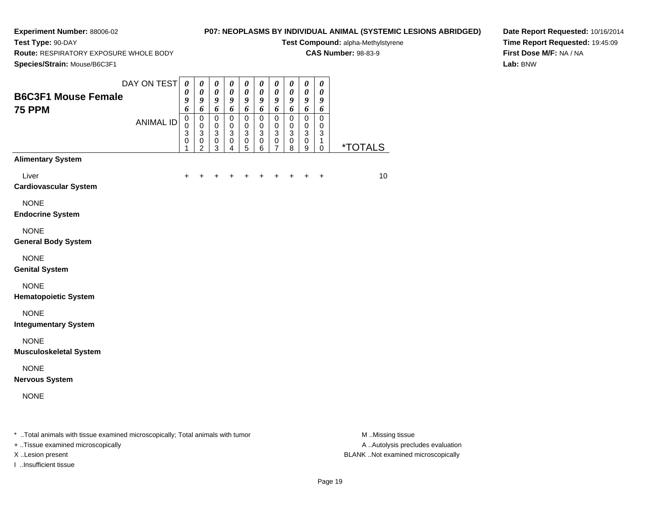**Test Type:** 90-DAY

# **P07: NEOPLASMS BY INDIVIDUAL ANIMAL (SYSTEMIC LESIONS ABRIDGED)**

**Test Compound:** alpha-Methylstyrene

**CAS Number:** 98-83-9

**Route:** RESPIRATORY EXPOSURE WHOLE BODY

**Date Report Requested:** 10/16/2014**Time Report Requested:** 19:45:09**First Dose M/F:** NA / NA**Lab:** BNW

| Species/Strain: Mouse/B6C3F1                                                   |                  |                                                   |                                                                                        |                                                                                    |                                                                       |                                                                         |                                                                           |                                                                  |                                                   |                                                                         |                                                   |                       |
|--------------------------------------------------------------------------------|------------------|---------------------------------------------------|----------------------------------------------------------------------------------------|------------------------------------------------------------------------------------|-----------------------------------------------------------------------|-------------------------------------------------------------------------|---------------------------------------------------------------------------|------------------------------------------------------------------|---------------------------------------------------|-------------------------------------------------------------------------|---------------------------------------------------|-----------------------|
| <b>B6C3F1 Mouse Female</b><br><b>75 PPM</b>                                    | DAY ON TEST      | $\boldsymbol{\theta}$<br>0<br>9<br>6              | $\boldsymbol{\theta}$<br>0<br>9<br>6                                                   | $\pmb{\theta}$<br>$\boldsymbol{\theta}$<br>$\boldsymbol{g}$<br>6                   | $\pmb{\theta}$<br>$\boldsymbol{\theta}$<br>9<br>6                     | $\pmb{\theta}$<br>$\boldsymbol{\theta}$<br>9<br>6                       | $\pmb{\theta}$<br>$\pmb{\theta}$<br>9<br>6                                | $\pmb{\theta}$<br>$\boldsymbol{\theta}$<br>$\boldsymbol{g}$<br>6 | $\pmb{\theta}$<br>$\boldsymbol{\theta}$<br>9<br>6 | $\boldsymbol{\theta}$<br>$\boldsymbol{\theta}$<br>$\boldsymbol{g}$<br>6 | $\pmb{\theta}$<br>$\boldsymbol{\theta}$<br>9<br>6 |                       |
|                                                                                | <b>ANIMAL ID</b> | $\mathbf 0$<br>$\mathbf 0$<br>3<br>$\pmb{0}$<br>1 | $\pmb{0}$<br>$\mathbf 0$<br>$\ensuremath{\mathsf{3}}$<br>$\mathbf 0$<br>$\overline{2}$ | $\pmb{0}$<br>$\mathbf 0$<br>$\ensuremath{\mathsf{3}}$<br>$\pmb{0}$<br>$\mathbf{3}$ | $\pmb{0}$<br>$\mathbf 0$<br>$\ensuremath{\mathsf{3}}$<br>$\,0\,$<br>4 | $\mathbf 0$<br>$\pmb{0}$<br>$\ensuremath{\mathsf{3}}$<br>$\pmb{0}$<br>5 | $\pmb{0}$<br>$\mathbf 0$<br>$\ensuremath{\mathsf{3}}$<br>$\mathbf 0$<br>6 | 0<br>$\mathbf 0$<br>$\ensuremath{\mathsf{3}}$<br>$\pmb{0}$<br>7  | 0<br>$\pmb{0}$<br>3<br>$\mathbf 0$<br>8           | $\pmb{0}$<br>$\pmb{0}$<br>$\sqrt{3}$<br>$\pmb{0}$<br>9                  | $\pmb{0}$<br>0<br>3<br>1<br>0                     | <i><b>*TOTALS</b></i> |
| <b>Alimentary System</b>                                                       |                  |                                                   |                                                                                        |                                                                                    |                                                                       |                                                                         |                                                                           |                                                                  |                                                   |                                                                         |                                                   |                       |
| Liver<br><b>Cardiovascular System</b>                                          |                  |                                                   |                                                                                        |                                                                                    |                                                                       |                                                                         |                                                                           |                                                                  |                                                   |                                                                         | $\ddot{}$                                         | 10                    |
| <b>NONE</b><br><b>Endocrine System</b>                                         |                  |                                                   |                                                                                        |                                                                                    |                                                                       |                                                                         |                                                                           |                                                                  |                                                   |                                                                         |                                                   |                       |
| <b>NONE</b><br><b>General Body System</b>                                      |                  |                                                   |                                                                                        |                                                                                    |                                                                       |                                                                         |                                                                           |                                                                  |                                                   |                                                                         |                                                   |                       |
| <b>NONE</b><br><b>Genital System</b>                                           |                  |                                                   |                                                                                        |                                                                                    |                                                                       |                                                                         |                                                                           |                                                                  |                                                   |                                                                         |                                                   |                       |
| <b>NONE</b><br><b>Hematopoietic System</b>                                     |                  |                                                   |                                                                                        |                                                                                    |                                                                       |                                                                         |                                                                           |                                                                  |                                                   |                                                                         |                                                   |                       |
| <b>NONE</b><br><b>Integumentary System</b>                                     |                  |                                                   |                                                                                        |                                                                                    |                                                                       |                                                                         |                                                                           |                                                                  |                                                   |                                                                         |                                                   |                       |
| <b>NONE</b><br><b>Musculoskeletal System</b>                                   |                  |                                                   |                                                                                        |                                                                                    |                                                                       |                                                                         |                                                                           |                                                                  |                                                   |                                                                         |                                                   |                       |
| <b>NONE</b><br><b>Nervous System</b>                                           |                  |                                                   |                                                                                        |                                                                                    |                                                                       |                                                                         |                                                                           |                                                                  |                                                   |                                                                         |                                                   |                       |
| <b>NONE</b>                                                                    |                  |                                                   |                                                                                        |                                                                                    |                                                                       |                                                                         |                                                                           |                                                                  |                                                   |                                                                         |                                                   |                       |
| * Total animals with tissue examined microscopically; Total animals with tumor |                  |                                                   |                                                                                        |                                                                                    |                                                                       |                                                                         |                                                                           |                                                                  |                                                   |                                                                         |                                                   | M.Missing tissue      |

+ ..Tissue examined microscopically

I ..Insufficient tissue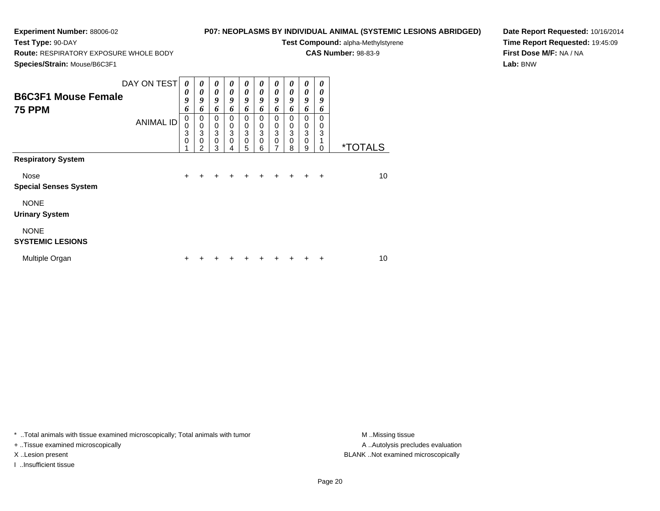**Test Type:** 90-DAY

# **P07: NEOPLASMS BY INDIVIDUAL ANIMAL (SYSTEMIC LESIONS ABRIDGED)**

**Test Compound:** alpha-Methylstyrene

**CAS Number:** 98-83-9

**Species/Strain:** Mouse/B6C3F1

**Route:** RESPIRATORY EXPOSURE WHOLE BODY

**Date Report Requested:** 10/16/2014**Time Report Requested:** 19:45:09**First Dose M/F:** NA / NA**Lab:** BNW

| <b>B6C3F1 Mouse Female</b><br><b>75 PPM</b> | DAY ON TEST<br><b>ANIMAL ID</b> | $\boldsymbol{\theta}$<br>0<br>9<br>6<br>$\mathbf 0$<br>0<br>3<br>$\mathbf 0$ | 0<br>0<br>9<br>6<br>0<br>$\mathbf 0$<br>3<br>$\mathbf 0$<br>2 | 0<br>$\boldsymbol{\theta}$<br>9<br>6<br>0<br>$\pmb{0}$<br>$\mathbf{3}$<br>$\mathbf 0$<br>3 | 0<br>0<br>$\boldsymbol{g}$<br>6<br>0<br>$\mathbf 0$<br>3<br>$\mathbf 0$<br>4 | 0<br>0<br>$\boldsymbol{g}$<br>6<br>0<br>$\mathbf 0$<br>$\ensuremath{\mathsf{3}}$<br>$\mathbf 0$<br>5 | 0<br>0<br>9<br>6<br>0<br>0<br>3<br>0<br>6 | 0<br>0<br>9<br>6<br>0<br>0<br>3<br>0<br>7 | 0<br>0<br>9<br>6<br>0<br>0<br>3<br>0<br>8 | 0<br>0<br>9<br>6<br>0<br>$\pmb{0}$<br>$\ensuremath{\mathsf{3}}$<br>0<br>9 | 0<br>0<br>9<br>6<br>0<br>0<br>3<br>0 | <i><b>*TOTALS</b></i> |
|---------------------------------------------|---------------------------------|------------------------------------------------------------------------------|---------------------------------------------------------------|--------------------------------------------------------------------------------------------|------------------------------------------------------------------------------|------------------------------------------------------------------------------------------------------|-------------------------------------------|-------------------------------------------|-------------------------------------------|---------------------------------------------------------------------------|--------------------------------------|-----------------------|
| <b>Respiratory System</b>                   |                                 |                                                                              |                                                               |                                                                                            |                                                                              |                                                                                                      |                                           |                                           |                                           |                                                                           |                                      |                       |
| Nose<br><b>Special Senses System</b>        |                                 | $\ddot{}$                                                                    | +                                                             |                                                                                            |                                                                              | ٠                                                                                                    | +                                         | +                                         | $\div$                                    | $\ddot{}$                                                                 | $\overline{+}$                       | 10                    |
| <b>NONE</b><br><b>Urinary System</b>        |                                 |                                                                              |                                                               |                                                                                            |                                                                              |                                                                                                      |                                           |                                           |                                           |                                                                           |                                      |                       |
| <b>NONE</b><br><b>SYSTEMIC LESIONS</b>      |                                 |                                                                              |                                                               |                                                                                            |                                                                              |                                                                                                      |                                           |                                           |                                           |                                                                           |                                      |                       |
| Multiple Organ                              |                                 | +                                                                            |                                                               |                                                                                            |                                                                              |                                                                                                      |                                           |                                           |                                           |                                                                           | +                                    | 10                    |

\* ..Total animals with tissue examined microscopically; Total animals with tumor **M** . Missing tissue M ..Missing tissue

+ ..Tissue examined microscopically

I ..Insufficient tissue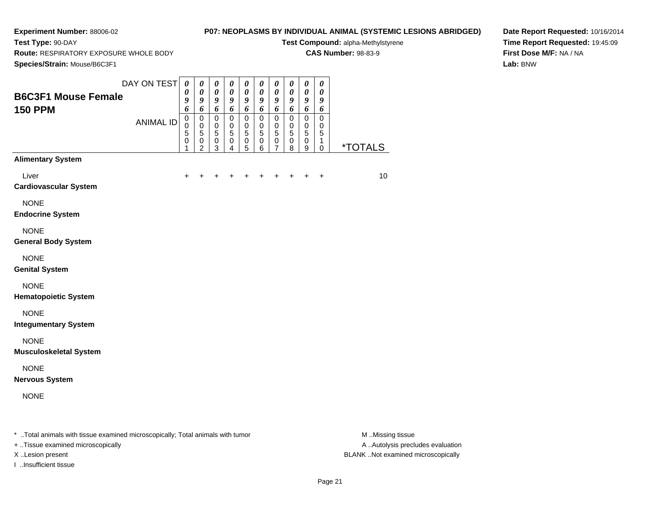**Test Type:** 90-DAY

# **P07: NEOPLASMS BY INDIVIDUAL ANIMAL (SYSTEMIC LESIONS ABRIDGED)**

**Test Compound:** alpha-Methylstyrene**CAS Number:** 98-83-9

**Species/Strain:** Mouse/B6C3F1

**Route:** RESPIRATORY EXPOSURE WHOLE BODY

**Date Report Requested:** 10/16/2014**Time Report Requested:** 19:45:09**First Dose M/F:** NA / NA**Lab:** BNW

|                                              | DAY ON TEST      | $\boldsymbol{\theta}$<br>$\boldsymbol{\theta}$ | 0<br>$\pmb{\theta}$              | 0<br>$\pmb{\theta}$                                     | 0<br>$\boldsymbol{\theta}$ | 0<br>$\boldsymbol{\theta}$       | 0<br>$\pmb{\theta}$                               | 0<br>$\pmb{\theta}$                                     | 0<br>$\pmb{\theta}$      | $\boldsymbol{\theta}$<br>$\pmb{\theta}$           | $\boldsymbol{\theta}$<br>$\boldsymbol{\theta}$ |                       |
|----------------------------------------------|------------------|------------------------------------------------|----------------------------------|---------------------------------------------------------|----------------------------|----------------------------------|---------------------------------------------------|---------------------------------------------------------|--------------------------|---------------------------------------------------|------------------------------------------------|-----------------------|
| <b>B6C3F1 Mouse Female</b><br><b>150 PPM</b> |                  | 9<br>6                                         | 9<br>6                           | 9<br>6                                                  | 9<br>6                     | 9<br>6                           | 9<br>6                                            | $\boldsymbol{g}$<br>6                                   | 9<br>6                   | $\boldsymbol{9}$<br>6                             | $\pmb{9}$<br>6                                 |                       |
|                                              | <b>ANIMAL ID</b> | $\mathbf 0$<br>$\mathbf 0$<br>5<br>$\pmb{0}$   | 0<br>$\pmb{0}$<br>5<br>$\pmb{0}$ | $\pmb{0}$<br>$\mathbf 0$<br>$\overline{5}$<br>$\pmb{0}$ | 0<br>0<br>5<br>0           | $\pmb{0}$<br>0<br>5<br>$\pmb{0}$ | $\mathbf 0$<br>0<br>$\overline{5}$<br>$\mathbf 0$ | $\pmb{0}$<br>$\mathbf 0$<br>$\overline{5}$<br>$\pmb{0}$ | 0<br>0<br>5<br>$\pmb{0}$ | $\mathbf 0$<br>0<br>$\overline{5}$<br>$\mathbf 0$ | $\mathbf 0$<br>0<br>5<br>1                     |                       |
| <b>Alimentary System</b>                     |                  | 1                                              | 2                                | 3                                                       | 4                          | 5                                | 6                                                 | 7                                                       | 8                        | $\boldsymbol{9}$                                  | $\mathbf 0$                                    | <i><b>*TOTALS</b></i> |
| Liver<br><b>Cardiovascular System</b>        |                  | $\ddot{}$                                      | +                                | +                                                       | +                          | +                                | +                                                 | +                                                       | +                        | $\ddot{}$                                         | $\ddot{}$                                      | 10                    |
| <b>NONE</b><br><b>Endocrine System</b>       |                  |                                                |                                  |                                                         |                            |                                  |                                                   |                                                         |                          |                                                   |                                                |                       |
| <b>NONE</b><br><b>General Body System</b>    |                  |                                                |                                  |                                                         |                            |                                  |                                                   |                                                         |                          |                                                   |                                                |                       |
| <b>NONE</b><br><b>Genital System</b>         |                  |                                                |                                  |                                                         |                            |                                  |                                                   |                                                         |                          |                                                   |                                                |                       |
| <b>NONE</b><br><b>Hematopoietic System</b>   |                  |                                                |                                  |                                                         |                            |                                  |                                                   |                                                         |                          |                                                   |                                                |                       |
| <b>NONE</b><br><b>Integumentary System</b>   |                  |                                                |                                  |                                                         |                            |                                  |                                                   |                                                         |                          |                                                   |                                                |                       |
| <b>NONE</b><br><b>Musculoskeletal System</b> |                  |                                                |                                  |                                                         |                            |                                  |                                                   |                                                         |                          |                                                   |                                                |                       |
| <b>NONE</b><br><b>Nervous System</b>         |                  |                                                |                                  |                                                         |                            |                                  |                                                   |                                                         |                          |                                                   |                                                |                       |
|                                              |                  |                                                |                                  |                                                         |                            |                                  |                                                   |                                                         |                          |                                                   |                                                |                       |

+ ..Tissue examined microscopically

I ..Insufficient tissue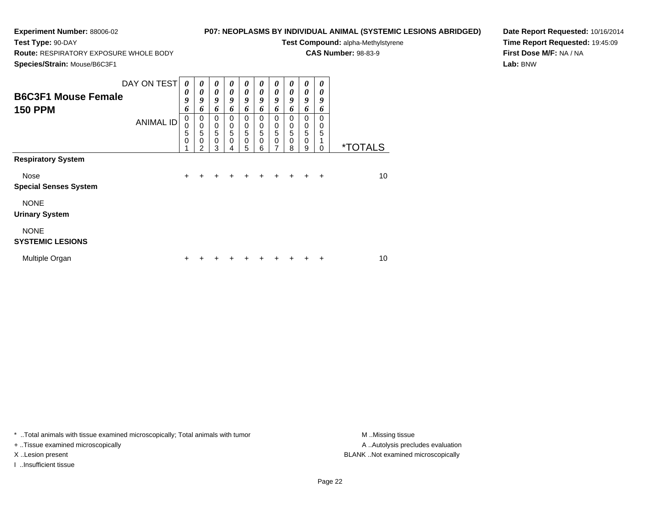**Test Type:** 90-DAY

# **P07: NEOPLASMS BY INDIVIDUAL ANIMAL (SYSTEMIC LESIONS ABRIDGED)**

**Test Compound:** alpha-Methylstyrene

**CAS Number:** 98-83-9

**Species/Strain:** Mouse/B6C3F1

**Route:** RESPIRATORY EXPOSURE WHOLE BODY

**Date Report Requested:** 10/16/2014**Time Report Requested:** 19:45:09**First Dose M/F:** NA / NA**Lab:** BNW

| <b>B6C3F1 Mouse Female</b><br><b>150 PPM</b> | DAY ON TEST<br><b>ANIMAL ID</b> | $\theta$<br>0<br>9<br>6<br>$\pmb{0}$<br>0 | 0<br>$\boldsymbol{\theta}$<br>9<br>6<br>$\pmb{0}$<br>$\pmb{0}$ | 0<br>$\boldsymbol{\theta}$<br>9<br>6<br>$\mathbf 0$<br>$\pmb{0}$ | 0<br>0<br>9<br>6<br>$\Omega$<br>0 | 0<br>$\boldsymbol{\theta}$<br>$\boldsymbol{g}$<br>6<br>$\Omega$<br>0 | 0<br>0<br>9<br>6<br>$\Omega$<br>0 | 0<br>0<br>9<br>6<br>$\mathbf 0$<br>$\pmb{0}$ | 0<br>0<br>9<br>6<br>$\Omega$<br>$\mathbf 0$ | 0<br>0<br>9<br>6<br>0<br>0 | 0<br>0<br>9<br>6<br>$\Omega$<br>0 |                       |
|----------------------------------------------|---------------------------------|-------------------------------------------|----------------------------------------------------------------|------------------------------------------------------------------|-----------------------------------|----------------------------------------------------------------------|-----------------------------------|----------------------------------------------|---------------------------------------------|----------------------------|-----------------------------------|-----------------------|
|                                              |                                 | 5<br>$\mathbf 0$                          | 5<br>$\mathbf 0$<br>$\overline{2}$                             | $\overline{5}$<br>$\mathbf 0$<br>3                               | 5<br>$\Omega$<br>4                | 5<br>$\mathbf 0$<br>5                                                | 5<br>$\Omega$<br>6                | 5<br>$\mathbf 0$<br>$\overline{7}$           | 5<br>0<br>8                                 | 5<br>$\mathbf 0$<br>9      | 5<br>1<br>0                       | <i><b>*TOTALS</b></i> |
| <b>Respiratory System</b>                    |                                 |                                           |                                                                |                                                                  |                                   |                                                                      |                                   |                                              |                                             |                            |                                   |                       |
| <b>Nose</b><br><b>Special Senses System</b>  |                                 | $\ddot{}$                                 | $\div$                                                         | ÷                                                                | $\div$                            | ÷                                                                    | $+$                               | $+$                                          | $+$                                         | $+$                        | $+$                               | 10                    |
| <b>NONE</b><br><b>Urinary System</b>         |                                 |                                           |                                                                |                                                                  |                                   |                                                                      |                                   |                                              |                                             |                            |                                   |                       |
| <b>NONE</b><br><b>SYSTEMIC LESIONS</b>       |                                 |                                           |                                                                |                                                                  |                                   |                                                                      |                                   |                                              |                                             |                            |                                   |                       |
| Multiple Organ                               |                                 | ٠                                         |                                                                |                                                                  |                                   |                                                                      |                                   |                                              |                                             |                            | ÷                                 | 10                    |

\* ..Total animals with tissue examined microscopically; Total animals with tumor **M** . Missing tissue M ..Missing tissue

+ ..Tissue examined microscopically

I ..Insufficient tissue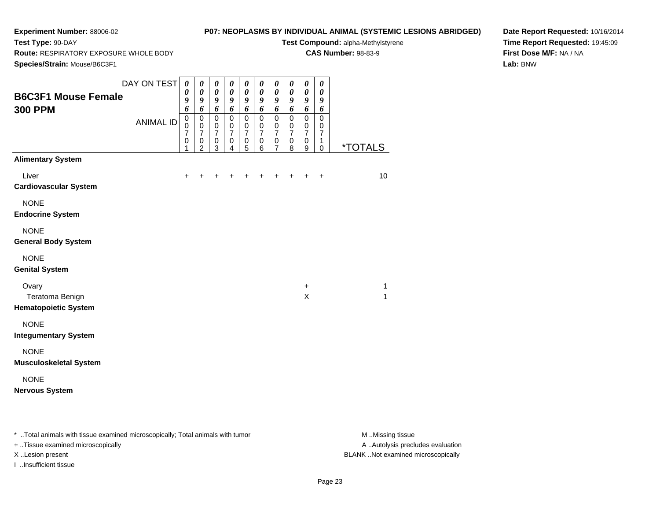**Test Type:** 90-DAY

# **P07: NEOPLASMS BY INDIVIDUAL ANIMAL (SYSTEMIC LESIONS ABRIDGED)**

**Test Compound:** alpha-Methylstyrene**CAS Number:** 98-83-9

**Route:** RESPIRATORY EXPOSURE WHOLE BODY

**Species/Strain:** Mouse/B6C3F1

**Date Report Requested:** 10/16/2014**Time Report Requested:** 19:45:09**First Dose M/F:** NA / NA**Lab:** BNW

| <b>B6C3F1 Mouse Female</b><br><b>300 PPM</b>                      | DAY ON TEST<br><b>ANIMAL ID</b> | $\boldsymbol{\theta}$<br>0<br>9<br>6<br>$\overline{0}$<br>$\mathbf 0$<br>$\overline{7}$<br>$\pmb{0}$<br>1 | 0<br>$\boldsymbol{\theta}$<br>9<br>6<br>$\mathsf 0$<br>$\pmb{0}$<br>$\overline{7}$<br>$\mathbf 0$<br>$\overline{2}$ | $\boldsymbol{\theta}$<br>$\boldsymbol{\theta}$<br>9<br>6<br>$\pmb{0}$<br>0<br>$\overline{7}$<br>$\pmb{0}$<br>3 | 0<br>$\pmb{\theta}$<br>9<br>6<br>$\mathbf 0$<br>0<br>$\overline{7}$<br>$\mathbf 0$<br>4 | 0<br>$\boldsymbol{\theta}$<br>9<br>6<br>$\mathbf 0$<br>$\mathbf 0$<br>$\overline{7}$<br>$\mathbf 0$<br>5 | 0<br>$\boldsymbol{\theta}$<br>9<br>6<br>$\pmb{0}$<br>$\mathbf 0$<br>$\overline{7}$<br>$\mathbf 0$<br>6 | 0<br>$\boldsymbol{\theta}$<br>9<br>6<br>$\pmb{0}$<br>0<br>$\overline{7}$<br>0<br>$\overline{7}$ | 0<br>$\boldsymbol{\theta}$<br>9<br>6<br>$\mathbf 0$<br>$\mathbf 0$<br>$\overline{7}$<br>$\mathbf 0$<br>8 | 0<br>$\pmb{\theta}$<br>9<br>6<br>$\mathbf 0$<br>0<br>$\overline{7}$<br>$\pmb{0}$<br>9 | 0<br>$\boldsymbol{\theta}$<br>9<br>6<br>$\mathbf 0$<br>0<br>$\overline{7}$<br>1<br>$\mathbf 0$ | <i><b>*TOTALS</b></i> |
|-------------------------------------------------------------------|---------------------------------|-----------------------------------------------------------------------------------------------------------|---------------------------------------------------------------------------------------------------------------------|----------------------------------------------------------------------------------------------------------------|-----------------------------------------------------------------------------------------|----------------------------------------------------------------------------------------------------------|--------------------------------------------------------------------------------------------------------|-------------------------------------------------------------------------------------------------|----------------------------------------------------------------------------------------------------------|---------------------------------------------------------------------------------------|------------------------------------------------------------------------------------------------|-----------------------|
| <b>Alimentary System</b><br>Liver<br><b>Cardiovascular System</b> |                                 | $+$                                                                                                       | $+$                                                                                                                 | $\ddot{}$                                                                                                      | $\ddot{}$                                                                               | +                                                                                                        | $\ddot{}$                                                                                              | $\pm$                                                                                           |                                                                                                          |                                                                                       | $\ddot{}$                                                                                      | 10                    |
| <b>NONE</b><br><b>Endocrine System</b>                            |                                 |                                                                                                           |                                                                                                                     |                                                                                                                |                                                                                         |                                                                                                          |                                                                                                        |                                                                                                 |                                                                                                          |                                                                                       |                                                                                                |                       |
| <b>NONE</b><br><b>General Body System</b>                         |                                 |                                                                                                           |                                                                                                                     |                                                                                                                |                                                                                         |                                                                                                          |                                                                                                        |                                                                                                 |                                                                                                          |                                                                                       |                                                                                                |                       |
| <b>NONE</b><br><b>Genital System</b>                              |                                 |                                                                                                           |                                                                                                                     |                                                                                                                |                                                                                         |                                                                                                          |                                                                                                        |                                                                                                 |                                                                                                          |                                                                                       |                                                                                                |                       |
| Ovary<br>Teratoma Benign<br><b>Hematopoietic System</b>           |                                 |                                                                                                           |                                                                                                                     |                                                                                                                |                                                                                         |                                                                                                          |                                                                                                        |                                                                                                 |                                                                                                          | $\ddot{}$<br>X                                                                        |                                                                                                | $\mathbf{1}$<br>1     |
| <b>NONE</b><br><b>Integumentary System</b>                        |                                 |                                                                                                           |                                                                                                                     |                                                                                                                |                                                                                         |                                                                                                          |                                                                                                        |                                                                                                 |                                                                                                          |                                                                                       |                                                                                                |                       |
| <b>NONE</b><br><b>Musculoskeletal System</b>                      |                                 |                                                                                                           |                                                                                                                     |                                                                                                                |                                                                                         |                                                                                                          |                                                                                                        |                                                                                                 |                                                                                                          |                                                                                       |                                                                                                |                       |
| <b>NONE</b><br><b>Nervous System</b>                              |                                 |                                                                                                           |                                                                                                                     |                                                                                                                |                                                                                         |                                                                                                          |                                                                                                        |                                                                                                 |                                                                                                          |                                                                                       |                                                                                                |                       |

\* ..Total animals with tissue examined microscopically; Total animals with tumor **M** . Missing tissue M ..Missing tissue

+ ..Tissue examined microscopically

I ..Insufficient tissue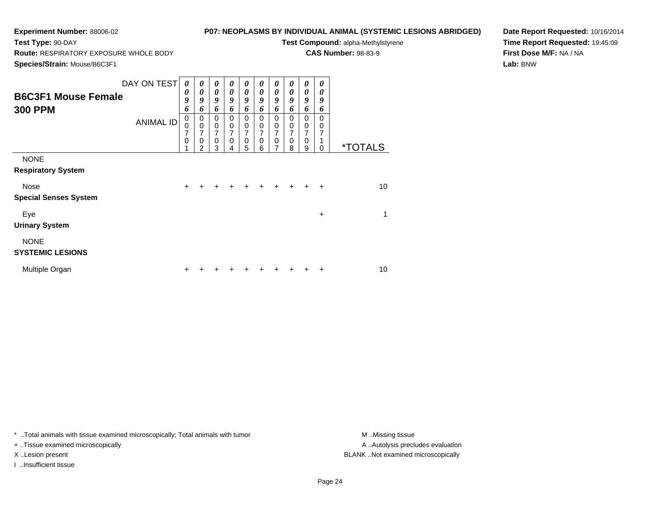**Test Type:** 90-DAY

# **P07: NEOPLASMS BY INDIVIDUAL ANIMAL (SYSTEMIC LESIONS ABRIDGED)**

**Test Compound:** alpha-Methylstyrene

**CAS Number:** 98-83-9

**Species/Strain:** Mouse/B6C3F1

**Route:** RESPIRATORY EXPOSURE WHOLE BODY

**Date Report Requested:** 10/16/2014**Time Report Requested:** 19:45:09**First Dose M/F:** NA / NA**Lab:** BNW

| <b>B6C3F1 Mouse Female</b><br><b>300 PPM</b> | DAY ON TEST<br><b>ANIMAL ID</b> | $\boldsymbol{\theta}$<br>0<br>9<br>6<br>$\pmb{0}$<br>$\pmb{0}$<br>7<br>$\mathbf 0$ | $\boldsymbol{\theta}$<br>$\boldsymbol{\theta}$<br>9<br>6<br>0<br>$\mathbf 0$<br>7<br>$\mathbf 0$<br>2 | 0<br>$\boldsymbol{\theta}$<br>9<br>6<br>$\mathbf 0$<br>$\pmb{0}$<br>$\overline{7}$<br>$\mathbf 0$<br>3 | 0<br>0<br>9<br>6<br>$\Omega$<br>0<br>7<br>$\Omega$<br>4 | 0<br>$\boldsymbol{\theta}$<br>9<br>6<br>0<br>0<br>7<br>$\mathbf 0$<br>5 | 0<br>$\boldsymbol{\theta}$<br>$\boldsymbol{g}$<br>6<br>$\Omega$<br>0<br>$\overline{7}$<br>0<br>6 | 0<br>$\boldsymbol{\theta}$<br>9<br>6<br>0<br>0<br>7<br>0<br>7 | 0<br>0<br>9<br>6<br>0<br>$\boldsymbol{0}$<br>7<br>0<br>8 | 0<br>0<br>9<br>6<br>$\mathbf 0$<br>0<br>7<br>0<br>9 | 0<br>0<br>9<br>6<br>$\Omega$<br>0<br>7<br>0 | <i><b>*TOTALS</b></i> |
|----------------------------------------------|---------------------------------|------------------------------------------------------------------------------------|-------------------------------------------------------------------------------------------------------|--------------------------------------------------------------------------------------------------------|---------------------------------------------------------|-------------------------------------------------------------------------|--------------------------------------------------------------------------------------------------|---------------------------------------------------------------|----------------------------------------------------------|-----------------------------------------------------|---------------------------------------------|-----------------------|
| <b>NONE</b><br><b>Respiratory System</b>     |                                 |                                                                                    |                                                                                                       |                                                                                                        |                                                         |                                                                         |                                                                                                  |                                                               |                                                          |                                                     |                                             |                       |
| Nose<br><b>Special Senses System</b>         |                                 | $\ddot{}$                                                                          |                                                                                                       |                                                                                                        | +                                                       | $\pm$                                                                   | $\ddot{}$                                                                                        |                                                               | $+$                                                      | $\ddot{}$                                           | $\ddot{}$                                   | 10                    |
| Eye<br><b>Urinary System</b>                 |                                 |                                                                                    |                                                                                                       |                                                                                                        |                                                         |                                                                         |                                                                                                  |                                                               |                                                          |                                                     | $\ddot{}$                                   | 1                     |
| <b>NONE</b><br><b>SYSTEMIC LESIONS</b>       |                                 |                                                                                    |                                                                                                       |                                                                                                        |                                                         |                                                                         |                                                                                                  |                                                               |                                                          |                                                     |                                             |                       |
| Multiple Organ                               |                                 |                                                                                    |                                                                                                       |                                                                                                        |                                                         |                                                                         |                                                                                                  |                                                               |                                                          |                                                     | ٠                                           | 10                    |

\* ..Total animals with tissue examined microscopically; Total animals with tumor **M** . Missing tissue M ..Missing tissue

+ ..Tissue examined microscopically

I ..Insufficient tissue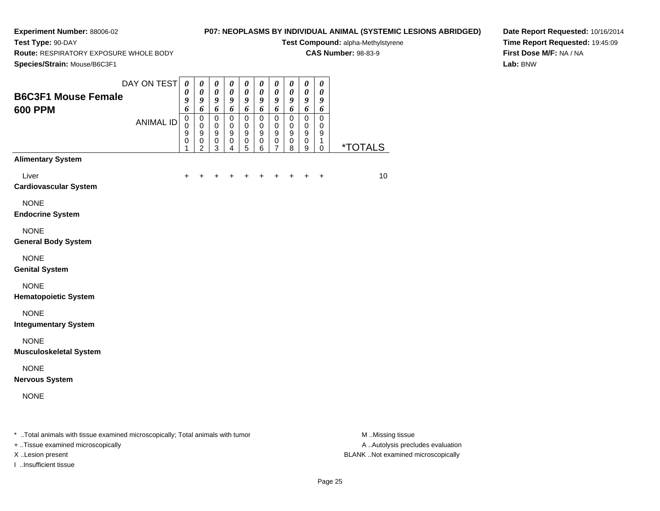**Test Type:** 90-DAY

# **P07: NEOPLASMS BY INDIVIDUAL ANIMAL (SYSTEMIC LESIONS ABRIDGED)**

**Test Compound:** alpha-Methylstyrene**CAS Number:** 98-83-9

**Route:** RESPIRATORY EXPOSURE WHOLE BODY

**Date Report Requested:** 10/16/2014**Time Report Requested:** 19:45:09**First Dose M/F:** NA / NA**Lab:** BNW

| <b>B6C3F1 Mouse Female</b><br><b>600 PPM</b> | DAY ON TEST      | $\boldsymbol{\theta}$<br>0<br>9<br>6 | 0<br>$\boldsymbol{\theta}$<br>9<br>6             | $\pmb{\theta}$<br>$\boldsymbol{\theta}$<br>$\boldsymbol{g}$<br>6        | $\boldsymbol{\theta}$<br>$\boldsymbol{\theta}$<br>$\boldsymbol{9}$<br>6 | $\boldsymbol{\theta}$<br>$\boldsymbol{\theta}$<br>$\boldsymbol{g}$<br>6 | $\boldsymbol{\theta}$<br>$\pmb{\theta}$<br>$\boldsymbol{g}$<br>6 | $\pmb{\theta}$<br>$\pmb{\theta}$<br>9<br>6        | 0<br>$\pmb{\theta}$<br>9<br>6           | $\pmb{\theta}$<br>$\pmb{\theta}$<br>9<br>6      | $\pmb{\theta}$<br>$\boldsymbol{\theta}$<br>9<br>6 |                       |
|----------------------------------------------|------------------|--------------------------------------|--------------------------------------------------|-------------------------------------------------------------------------|-------------------------------------------------------------------------|-------------------------------------------------------------------------|------------------------------------------------------------------|---------------------------------------------------|-----------------------------------------|-------------------------------------------------|---------------------------------------------------|-----------------------|
|                                              | <b>ANIMAL ID</b> | $\mathbf 0$<br>0<br>9<br>0<br>1      | $\pmb{0}$<br>$\mathbf 0$<br>9<br>$\mbox{O}$<br>2 | $\pmb{0}$<br>$\pmb{0}$<br>$\boldsymbol{9}$<br>$\pmb{0}$<br>$\mathbf{3}$ | $\pmb{0}$<br>$\mathbf 0$<br>9<br>$\pmb{0}$<br>4                         | $\pmb{0}$<br>$\mathbf 0$<br>9<br>$\pmb{0}$<br>5                         | $\mathbf 0$<br>$\mathbf 0$<br>9<br>$\pmb{0}$<br>6                | $\mathbf 0$<br>$\mathbf 0$<br>9<br>$\pmb{0}$<br>7 | $\pmb{0}$<br>0<br>9<br>$\mathbf 0$<br>8 | $\pmb{0}$<br>$\mathbf 0$<br>9<br>$\pmb{0}$<br>9 | 0<br>0<br>9<br>1<br>0                             | <i><b>*TOTALS</b></i> |
| <b>Alimentary System</b>                     |                  |                                      |                                                  |                                                                         |                                                                         |                                                                         |                                                                  |                                                   |                                         |                                                 |                                                   |                       |
| Liver<br><b>Cardiovascular System</b>        |                  | $\ddot{}$                            | +                                                |                                                                         |                                                                         |                                                                         |                                                                  |                                                   |                                         |                                                 | $\ddot{}$                                         | 10                    |
| <b>NONE</b><br><b>Endocrine System</b>       |                  |                                      |                                                  |                                                                         |                                                                         |                                                                         |                                                                  |                                                   |                                         |                                                 |                                                   |                       |
| <b>NONE</b><br><b>General Body System</b>    |                  |                                      |                                                  |                                                                         |                                                                         |                                                                         |                                                                  |                                                   |                                         |                                                 |                                                   |                       |
| <b>NONE</b><br><b>Genital System</b>         |                  |                                      |                                                  |                                                                         |                                                                         |                                                                         |                                                                  |                                                   |                                         |                                                 |                                                   |                       |
| <b>NONE</b><br><b>Hematopoietic System</b>   |                  |                                      |                                                  |                                                                         |                                                                         |                                                                         |                                                                  |                                                   |                                         |                                                 |                                                   |                       |
| <b>NONE</b><br><b>Integumentary System</b>   |                  |                                      |                                                  |                                                                         |                                                                         |                                                                         |                                                                  |                                                   |                                         |                                                 |                                                   |                       |
| <b>NONE</b><br><b>Musculoskeletal System</b> |                  |                                      |                                                  |                                                                         |                                                                         |                                                                         |                                                                  |                                                   |                                         |                                                 |                                                   |                       |
| <b>NONE</b><br><b>Nervous System</b>         |                  |                                      |                                                  |                                                                         |                                                                         |                                                                         |                                                                  |                                                   |                                         |                                                 |                                                   |                       |
| <b>NONE</b>                                  |                  |                                      |                                                  |                                                                         |                                                                         |                                                                         |                                                                  |                                                   |                                         |                                                 |                                                   |                       |

+ ..Tissue examined microscopically

I ..Insufficient tissue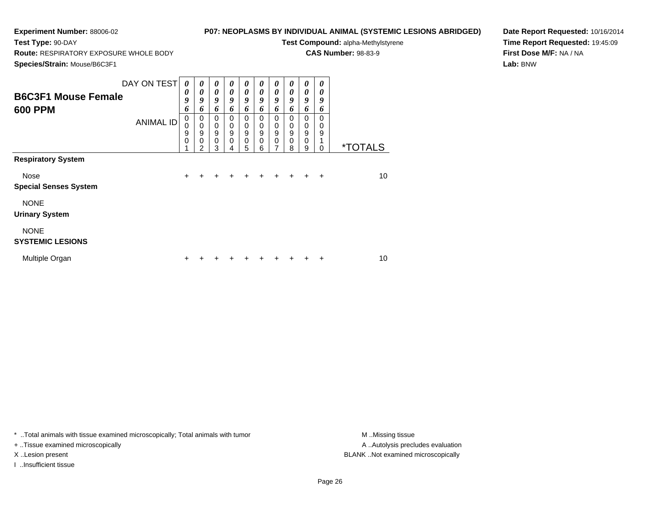**Test Type:** 90-DAY

# **P07: NEOPLASMS BY INDIVIDUAL ANIMAL (SYSTEMIC LESIONS ABRIDGED)**

**Test Compound:** alpha-Methylstyrene

**CAS Number:** 98-83-9

**Species/Strain:** Mouse/B6C3F1

**Route:** RESPIRATORY EXPOSURE WHOLE BODY

**Date Report Requested:** 10/16/2014**Time Report Requested:** 19:45:09**First Dose M/F:** NA / NA**Lab:** BNW

| <b>B6C3F1 Mouse Female</b><br><b>600 PPM</b> | DAY ON TEST<br><b>ANIMAL ID</b> | $\boldsymbol{\theta}$<br>0<br>9<br>6<br>0<br>0<br>9<br>$\mathbf 0$ | $\boldsymbol{\theta}$<br>0<br>9<br>6<br>0<br>$\mathbf 0$<br>$\boldsymbol{9}$<br>$\mathbf 0$ | $\boldsymbol{\theta}$<br>$\boldsymbol{\theta}$<br>9<br>6<br>$\mathbf 0$<br>0<br>9<br>$\mathbf 0$ | 0<br>0<br>9<br>6<br>0<br>0<br>$\mathsf g$<br>0 | 0<br>$\boldsymbol{\theta}$<br>9<br>6<br>$\Omega$<br>0<br>$\boldsymbol{9}$<br>$\mathsf 0$ | 0<br>$\boldsymbol{\theta}$<br>9<br>6<br>0<br>0<br>9<br>0 | 0<br>0<br>9<br>6<br>0<br>0<br>9<br>0 | 0<br>0<br>9<br>6<br>$\Omega$<br>0<br>9<br>$\mathbf 0$ | 0<br>0<br>9<br>6<br>$\Omega$<br>0<br>9<br>$\pmb{0}$ | 0<br>0<br>9<br>6<br>$\Omega$<br>0<br>9<br>1 |                       |
|----------------------------------------------|---------------------------------|--------------------------------------------------------------------|---------------------------------------------------------------------------------------------|--------------------------------------------------------------------------------------------------|------------------------------------------------|------------------------------------------------------------------------------------------|----------------------------------------------------------|--------------------------------------|-------------------------------------------------------|-----------------------------------------------------|---------------------------------------------|-----------------------|
|                                              |                                 |                                                                    | $\overline{2}$                                                                              | 3                                                                                                | 4                                              | 5                                                                                        | 6                                                        | 7                                    | 8                                                     | 9                                                   | 0                                           | <i><b>*TOTALS</b></i> |
| <b>Respiratory System</b>                    |                                 |                                                                    |                                                                                             |                                                                                                  |                                                |                                                                                          |                                                          |                                      |                                                       |                                                     |                                             |                       |
| Nose                                         |                                 | $\ddot{}$                                                          | +                                                                                           |                                                                                                  | +                                              | $\ddot{}$                                                                                | $\ddot{}$                                                |                                      | $+$                                                   | $+$                                                 | $+$                                         | 10                    |
| <b>Special Senses System</b>                 |                                 |                                                                    |                                                                                             |                                                                                                  |                                                |                                                                                          |                                                          |                                      |                                                       |                                                     |                                             |                       |
| <b>NONE</b>                                  |                                 |                                                                    |                                                                                             |                                                                                                  |                                                |                                                                                          |                                                          |                                      |                                                       |                                                     |                                             |                       |
| <b>Urinary System</b>                        |                                 |                                                                    |                                                                                             |                                                                                                  |                                                |                                                                                          |                                                          |                                      |                                                       |                                                     |                                             |                       |
| <b>NONE</b><br><b>SYSTEMIC LESIONS</b>       |                                 |                                                                    |                                                                                             |                                                                                                  |                                                |                                                                                          |                                                          |                                      |                                                       |                                                     |                                             |                       |
| Multiple Organ                               |                                 | ٠                                                                  |                                                                                             |                                                                                                  |                                                |                                                                                          |                                                          |                                      |                                                       |                                                     | ÷                                           | 10                    |

\* ..Total animals with tissue examined microscopically; Total animals with tumor **M** . Missing tissue M ..Missing tissue

+ ..Tissue examined microscopically

I ..Insufficient tissue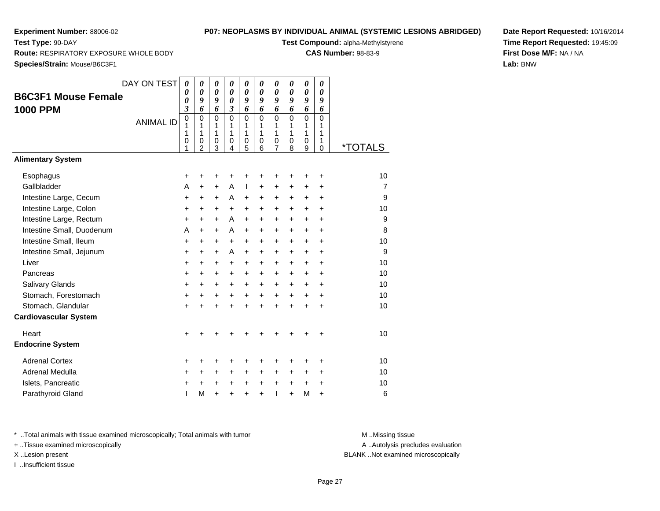**Test Type:** 90-DAY

# **P07: NEOPLASMS BY INDIVIDUAL ANIMAL (SYSTEMIC LESIONS ABRIDGED)**

**Test Compound:** alpha-Methylstyrene

**CAS Number:** 98-83-9

**Date Report Requested:** 10/16/2014**Time Report Requested:** 19:45:09**First Dose M/F:** NA / NA**Lab:** BNW

**Route:** RESPIRATORY EXPOSURE WHOLE BODY

**Species/Strain:** Mouse/B6C3F1

| opecies/otialii. Mouse/Docol T                |                  |                                                                       |                                              |                                 |                                                          |                                      |                                      |                                              |                                      |                                 |                                     |                       |
|-----------------------------------------------|------------------|-----------------------------------------------------------------------|----------------------------------------------|---------------------------------|----------------------------------------------------------|--------------------------------------|--------------------------------------|----------------------------------------------|--------------------------------------|---------------------------------|-------------------------------------|-----------------------|
| <b>B6C3F1 Mouse Female</b><br><b>1000 PPM</b> | DAY ON TEST      | $\boldsymbol{\theta}$<br>$\boldsymbol{\theta}$<br>0<br>$\mathfrak{z}$ | 0<br>$\pmb{\theta}$<br>9<br>6                | 0<br>$\pmb{\theta}$<br>9<br>6   | 0<br>$\boldsymbol{\theta}$<br>$\boldsymbol{\theta}$<br>3 | 0<br>$\boldsymbol{\theta}$<br>9<br>6 | 0<br>$\boldsymbol{\theta}$<br>9<br>6 | 0<br>$\boldsymbol{\theta}$<br>9<br>6         | 0<br>$\boldsymbol{\theta}$<br>9<br>6 | 0<br>$\pmb{\theta}$<br>9<br>6   | 0<br>0<br>9<br>6                    |                       |
|                                               | <b>ANIMAL ID</b> | $\mathbf 0$<br>1<br>1<br>0<br>1                                       | $\mathbf 0$<br>1<br>1<br>0<br>$\overline{2}$ | $\mathbf 0$<br>1<br>1<br>0<br>3 | $\mathbf 0$<br>1<br>1<br>0<br>4                          | 0<br>1<br>1<br>0<br>5                | $\mathbf 0$<br>1<br>1<br>0<br>6      | $\mathbf 0$<br>1<br>1<br>0<br>$\overline{7}$ | $\Omega$<br>1<br>1<br>0<br>8         | $\mathbf 0$<br>1<br>1<br>0<br>9 | $\Omega$<br>1<br>1<br>1<br>$\Omega$ | <i><b>*TOTALS</b></i> |
| <b>Alimentary System</b>                      |                  |                                                                       |                                              |                                 |                                                          |                                      |                                      |                                              |                                      |                                 |                                     |                       |
| Esophagus                                     |                  | +                                                                     | +                                            | +                               | +                                                        | +                                    | +                                    | +                                            | +                                    | +                               | +                                   | 10                    |
| Gallbladder                                   |                  | Α                                                                     | $\ddot{}$                                    | $\ddot{}$                       | A                                                        | T                                    | $\ddot{}$                            | $\ddot{}$                                    | $\ddot{}$                            | $\ddot{}$                       | +                                   | $\overline{7}$        |
| Intestine Large, Cecum                        |                  | +                                                                     | $\pm$                                        | $\ddot{}$                       | A                                                        | $\ddot{}$                            | +                                    | +                                            | +                                    | +                               | $\ddot{}$                           | 9                     |
| Intestine Large, Colon                        |                  | +                                                                     | +                                            | $\ddot{}$                       | $\ddot{}$                                                | $\ddot{}$                            | +                                    | $\ddot{}$                                    | $\ddot{}$                            | $\ddot{}$                       | $\ddot{}$                           | 10                    |
| Intestine Large, Rectum                       |                  | $\ddot{}$                                                             | $\ddot{}$                                    | $\ddot{}$                       | A                                                        | $\ddot{}$                            | $\ddot{}$                            | $\ddot{}$                                    | $\ddot{}$                            | $\ddot{}$                       | $\ddot{}$                           | 9                     |
| Intestine Small, Duodenum                     |                  | Α                                                                     | $\ddot{}$                                    | $\ddot{}$                       | A                                                        | $\ddot{}$                            | $\ddot{}$                            | $\ddot{}$                                    | $\ddot{}$                            | $\ddot{}$                       | $\ddot{}$                           | 8                     |
| Intestine Small, Ileum                        |                  | +                                                                     | +                                            | +                               | $\ddot{}$                                                | $\ddot{}$                            | +                                    | $\ddot{}$                                    | +                                    | $\ddot{}$                       | $\ddot{}$                           | 10                    |
| Intestine Small, Jejunum                      |                  | +                                                                     | +                                            | +                               | A                                                        | +                                    | +                                    | +                                            | +                                    | +                               | $\ddot{}$                           | 9                     |
| Liver                                         |                  | $\ddot{}$                                                             | $\ddot{}$                                    | $\ddot{}$                       | $\ddot{}$                                                | $\ddot{}$                            | $\ddot{}$                            | $\ddot{}$                                    | $\ddot{}$                            | $\ddot{}$                       | $\ddot{}$                           | 10                    |
| Pancreas                                      |                  | $\ddot{}$                                                             | $\ddot{}$                                    | $\ddot{}$                       | $+$                                                      | $\ddot{}$                            | $+$                                  | $\ddot{}$                                    | $\ddot{}$                            | $\ddot{}$                       | $\ddot{}$                           | 10                    |
| Salivary Glands                               |                  | +                                                                     | +                                            | +                               | +                                                        | +                                    | $\ddot{}$                            | $\ddot{}$                                    | $\ddot{}$                            | $\ddot{}$                       | $\ddot{}$                           | 10                    |
| Stomach, Forestomach                          |                  | +                                                                     | $\ddot{}$                                    | +                               | $\ddot{}$                                                | $\ddot{}$                            | $\ddot{}$                            | $\ddot{}$                                    | $\ddot{}$                            | $\ddot{}$                       | $\ddot{}$                           | 10                    |
| Stomach, Glandular                            |                  | $\ddot{}$                                                             | $\ddot{}$                                    | $\ddot{}$                       | $\ddot{}$                                                | $\ddot{}$                            | $\ddot{}$                            | $\ddot{}$                                    | $\ddot{}$                            | $\ddot{}$                       | $\ddot{}$                           | 10                    |
| <b>Cardiovascular System</b>                  |                  |                                                                       |                                              |                                 |                                                          |                                      |                                      |                                              |                                      |                                 |                                     |                       |
| Heart                                         |                  | $\ddot{}$                                                             | +                                            |                                 |                                                          |                                      |                                      | +                                            | +                                    | ٠                               | $\pm$                               | 10                    |
| <b>Endocrine System</b>                       |                  |                                                                       |                                              |                                 |                                                          |                                      |                                      |                                              |                                      |                                 |                                     |                       |
| <b>Adrenal Cortex</b>                         |                  | +                                                                     | +                                            | +                               |                                                          | +                                    | +                                    | ٠                                            | ٠                                    | ٠                               | ٠                                   | 10                    |
| Adrenal Medulla                               |                  | +                                                                     | $\ddot{}$                                    | $\ddot{}$                       | $\ddot{}$                                                | $\ddot{}$                            | $\ddot{}$                            | $\ddot{}$                                    | +                                    | $\ddot{}$                       | $\ddot{}$                           | 10                    |
| Islets, Pancreatic                            |                  | +                                                                     | +                                            | +                               | +                                                        | $\ddot{}$                            | +                                    | $\ddot{}$                                    | $\ddot{}$                            | $\ddot{}$                       | $\ddot{}$                           | 10                    |
| Parathyroid Gland                             |                  | ı                                                                     | M                                            | $\ddot{}$                       |                                                          | $\ddot{}$                            | $\ddot{}$                            | T                                            | $\ddot{}$                            | M                               | $\ddot{}$                           | 6                     |
|                                               |                  |                                                                       |                                              |                                 |                                                          |                                      |                                      |                                              |                                      |                                 |                                     |                       |

\* ..Total animals with tissue examined microscopically; Total animals with tumor **M** . Missing tissue M ..Missing tissue

+ ..Tissue examined microscopically

I ..Insufficient tissue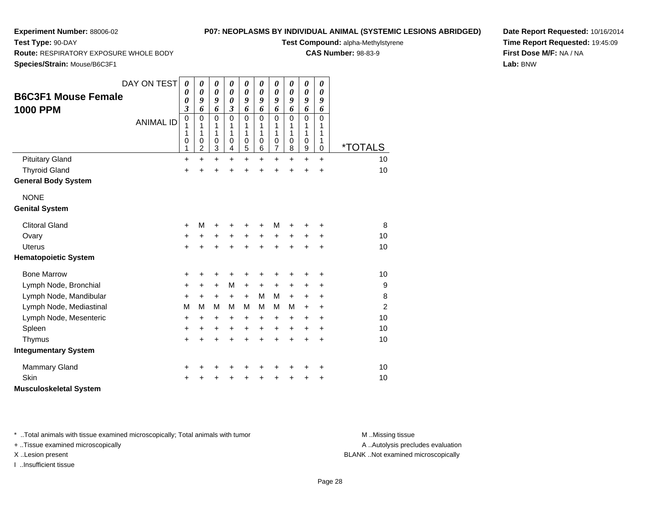**Test Type:** 90-DAY

# **P07: NEOPLASMS BY INDIVIDUAL ANIMAL (SYSTEMIC LESIONS ABRIDGED)**

**Test Compound:** alpha-Methylstyrene

**CAS Number:** 98-83-9

**Date Report Requested:** 10/16/2014**Time Report Requested:** 19:45:09**First Dose M/F:** NA / NA**Lab:** BNW

**Route:** RESPIRATORY EXPOSURE WHOLE BODY

**Species/Strain:** Mouse/B6C3F1

|                               | DAY ON TEST      | 0                            | 0                     | 0                     | 0                                       | 0                     | 0                     | 0                | 0                 | 0                | 0         |                       |
|-------------------------------|------------------|------------------------------|-----------------------|-----------------------|-----------------------------------------|-----------------------|-----------------------|------------------|-------------------|------------------|-----------|-----------------------|
| <b>B6C3F1 Mouse Female</b>    |                  | 0                            | $\boldsymbol{\theta}$ | $\boldsymbol{\theta}$ | 0                                       | $\boldsymbol{\theta}$ | $\boldsymbol{\theta}$ | 0                | 0                 | 0                | 0         |                       |
|                               |                  | 0<br>$\overline{\mathbf{3}}$ | 9<br>6                | 9<br>6                | $\boldsymbol{\theta}$<br>$\mathfrak{z}$ | 9<br>6                | 9<br>6                | 9<br>6           | 9<br>6            | 9<br>6           | 9<br>6    |                       |
| <b>1000 PPM</b>               |                  | $\mathbf 0$                  | $\mathbf 0$           | $\mathbf 0$           | $\mathbf 0$                             | 0                     | $\mathbf 0$           | $\mathbf 0$      | $\mathbf 0$       | $\mathbf 0$      | 0         |                       |
|                               | <b>ANIMAL ID</b> | 1                            | 1                     | 1                     | 1                                       | 1                     | 1                     | 1                | 1                 | 1                | 1         |                       |
|                               |                  | 1<br>0                       | 1<br>$\mathbf 0$      | 1<br>$\mathbf 0$      | 1<br>0                                  | 1<br>$\pmb{0}$        | 1<br>0                | 1<br>$\mathbf 0$ | $\mathbf{1}$<br>0 | 1<br>0           | 1<br>1    |                       |
|                               |                  | 1                            | $\overline{2}$        | 3                     | 4                                       | 5                     | 6                     | $\overline{7}$   | 8                 | $\boldsymbol{9}$ | 0         | <i><b>*TOTALS</b></i> |
| <b>Pituitary Gland</b>        |                  | $\ddot{}$                    | $\ddot{}$             | $\ddot{}$             | $\ddot{}$                               | $\ddot{}$             | $\ddot{}$             | $\ddot{}$        | $\ddot{}$         | $\ddot{}$        | $\ddot{}$ | 10                    |
| <b>Thyroid Gland</b>          |                  | $\ddot{}$                    |                       | $\ddot{}$             | $\ddot{}$                               | +                     | $\ddot{}$             | $\ddot{}$        | $\ddot{}$         | $\ddot{}$        | $\ddot{}$ | 10                    |
| <b>General Body System</b>    |                  |                              |                       |                       |                                         |                       |                       |                  |                   |                  |           |                       |
| <b>NONE</b>                   |                  |                              |                       |                       |                                         |                       |                       |                  |                   |                  |           |                       |
| <b>Genital System</b>         |                  |                              |                       |                       |                                         |                       |                       |                  |                   |                  |           |                       |
| <b>Clitoral Gland</b>         |                  | +                            | M                     | +                     |                                         | +                     | +                     | М                |                   |                  | ٠         | 8                     |
| Ovary                         |                  | $\ddot{}$                    | $\ddot{}$             | $\ddot{}$             | $\ddot{}$                               | $\ddot{}$             | $\ddot{}$             | $\ddot{}$        | $\ddot{}$         | $\ddot{}$        | +         | 10                    |
| <b>Uterus</b>                 |                  | $\ddot{}$                    |                       | $\ddot{}$             | $\ddot{}$                               | $\ddot{}$             | ÷                     | $\ddot{}$        | $\ddot{}$         | $\ddot{}$        | $\ddot{}$ | 10                    |
| <b>Hematopoietic System</b>   |                  |                              |                       |                       |                                         |                       |                       |                  |                   |                  |           |                       |
| <b>Bone Marrow</b>            |                  | +                            | +                     | +                     | +                                       | +                     | +                     | +                | +                 | ٠                | +         | 10                    |
| Lymph Node, Bronchial         |                  | +                            | $\ddot{}$             | $\ddot{}$             | M                                       | $\ddot{}$             | $\ddot{}$             | +                | $\pm$             | $\ddot{}$        | +         | 9                     |
| Lymph Node, Mandibular        |                  | $\ddot{}$                    | $\ddot{}$             | $\ddot{}$             | $+$                                     | $+$                   | М                     | М                | $+$               | $+$              | $\ddot{}$ | 8                     |
| Lymph Node, Mediastinal       |                  | M                            | м                     | M                     | м                                       | м                     | м                     | м                | м                 | $\pm$            | $\ddot{}$ | $\overline{2}$        |
| Lymph Node, Mesenteric        |                  | +                            | $\ddot{}$             | +                     | +                                       | +                     | $\ddot{}$             | +                | $\pm$             | $\ddot{}$        | +         | 10                    |
| Spleen                        |                  | +                            | $\ddot{}$             | $\ddot{}$             | $\ddot{}$                               | $\ddot{}$             | $\ddot{}$             | $\ddot{}$        | $+$               | $\ddot{}$        | $\ddot{}$ | 10                    |
| Thymus                        |                  | $\ddot{}$                    | $\ddot{}$             | $\ddot{}$             | $\ddot{}$                               | $\ddot{}$             | $\ddot{}$             | $\ddot{}$        | $\ddot{}$         | $+$              | $\ddot{}$ | 10                    |
| <b>Integumentary System</b>   |                  |                              |                       |                       |                                         |                       |                       |                  |                   |                  |           |                       |
| <b>Mammary Gland</b>          |                  | +                            |                       |                       |                                         | +                     | +                     | +                |                   | +                | +         | 10                    |
| Skin                          |                  | $\ddot{}$                    |                       |                       |                                         | +                     | +                     | +                |                   | +                | +         | 10                    |
| <b>Musculoskeletal System</b> |                  |                              |                       |                       |                                         |                       |                       |                  |                   |                  |           |                       |

\* ..Total animals with tissue examined microscopically; Total animals with tumor **M** . Missing tissue M ..Missing tissue

+ ..Tissue examined microscopically

I ..Insufficient tissue

A ..Autolysis precludes evaluation

X ..Lesion present BLANK ..Not examined microscopically